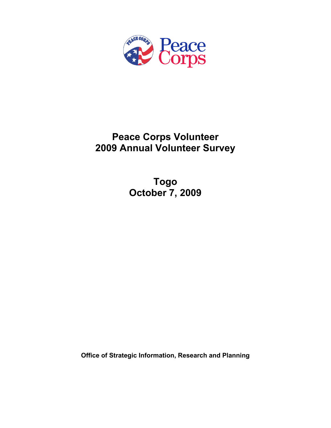

# **Peace Corps Volunteer 2009 Annual Volunteer Survey**

**Togo October 7, 2009** 

**Office of Strategic Information, Research and Planning**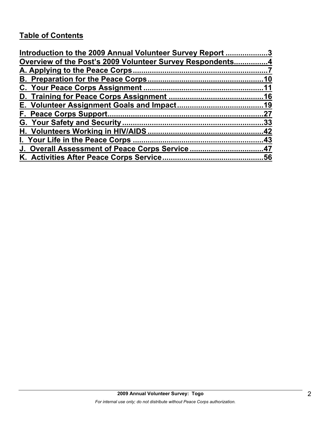# **Table of Contents**

| Introduction to the 2009 Annual Volunteer Survey Report 3 |     |
|-----------------------------------------------------------|-----|
| Overview of the Post's 2009 Volunteer Survey Respondents4 |     |
|                                                           |     |
|                                                           | .10 |
|                                                           |     |
|                                                           |     |
|                                                           |     |
|                                                           | .27 |
|                                                           |     |
|                                                           |     |
|                                                           |     |
| J. Overall Assessment of Peace Corps Service47            |     |
|                                                           |     |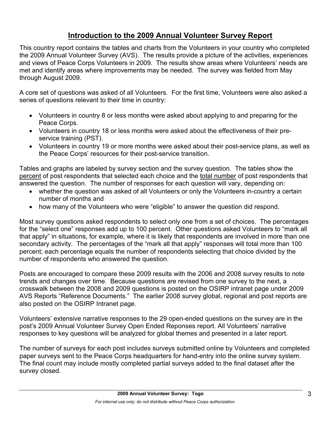# **Introduction to the 2009 Annual Volunteer Survey Report**

This country report contains the tables and charts from the Volunteers in your country who completed the 2009 Annual Volunteer Survey (AVS). The results provide a picture of the activities, experiences and views of Peace Corps Volunteers in 2009. The results show areas where Volunteers' needs are met and identify areas where improvements may be needed. The survey was fielded from May through August 2009.

A core set of questions was asked of all Volunteers. For the first time, Volunteers were also asked a series of questions relevant to their time in country:

- Volunteers in country 8 or less months were asked about applying to and preparing for the Peace Corps.
- Volunteers in country 18 or less months were asked about the effectiveness of their preservice training (PST).
- Volunteers in country 19 or more months were asked about their post-service plans, as well as the Peace Corps' resources for their post-service transition.

Tables and graphs are labeled by survey section and the survey question. The tables show the percent of post respondents that selected each choice and the total number of post respondents that answered the question. The number of responses for each question will vary, depending on:

- whether the question was asked of all Volunteers or only the Volunteers in-country a certain number of months and
- how many of the Volunteers who were "eligible" to answer the question did respond.

Most survey questions asked respondents to select only one from a set of choices. The percentages for the "select one" responses add up to 100 percent. Other questions asked Volunteers to "mark all that apply" in situations, for example, where it is likely that respondents are involved in more than one secondary activity. The percentages of the "mark all that apply" responses will total more than 100 percent; each percentage equals the number of respondents selecting that choice divided by the number of respondents who answered the question.

Posts are encouraged to compare these 2009 results with the 2006 and 2008 survey results to note trends and changes over time. Because questions are revised from one survey to the next, a crosswalk between the 2008 and 2009 questions is posted on the OSIRP intranet page under 2009 AVS Reports "Reference Documents." The earlier 2008 survey global, regional and post reports are also posted on the OSIRP Intranet page.

Volunteers' extensive narrative responses to the 29 open-ended questions on the survey are in the post's 2009 Annual Volunteer Survey Open Ended Reponses report. All Volunteers' narrative responses to key questions will be analyzed for global themes and presented in a later report.

The number of surveys for each post includes surveys submitted online by Volunteers and completed paper surveys sent to the Peace Corps headquarters for hand-entry into the online survey system. The final count may include mostly completed partial surveys added to the final dataset after the survey closed.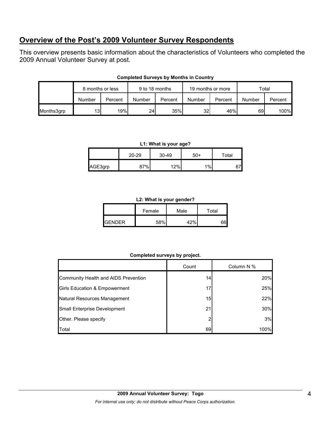# **Overview of the Post's 2009 Volunteer Survey Respondents**

This overview presents basic information about the characteristics of Volunteers who completed the 2009 Annual Volunteer Survey at post.

|            | 8 months or less |         | 9 to 18 months |         | 19 months or more |         | Total  |         |
|------------|------------------|---------|----------------|---------|-------------------|---------|--------|---------|
|            | Number           | Percent | Number         | Percent | Number            | Percent | Number | Percent |
| Months3grp | 13I              | 19%     | 24             | 35%     | 32I               | 46%     | 69     | 100%    |

#### **Completed Surveys by Months in Country**

#### **L1: What is your age?**

|         | 20-29 | $30 - 49$ | 50+   | Total |
|---------|-------|-----------|-------|-------|
| AGE3grp | 87%   | 12%       | $1\%$ | 271   |

#### **L2: What is your gender?**

|               | Female | Male | Total |  |
|---------------|--------|------|-------|--|
| <b>GENDER</b> | 58%    | 12%  |       |  |

### **Completed surveys by project.**

|                                      | Count | Column N % |
|--------------------------------------|-------|------------|
| Community Health and AIDS Prevention | 14    | 20%        |
| Girls Education & Empowerment        | 17    | 25%        |
| Natural Resources Management         | 15    | 22%        |
| Small Enterprise Development         | 21    | 30%        |
| Other. Please specify                |       | 3%         |
| Total                                | 69    | 100%       |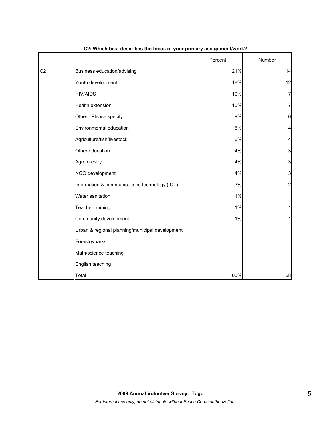|                |                                                 | Percent | Number          |
|----------------|-------------------------------------------------|---------|-----------------|
| C <sub>2</sub> | Business education/advising                     | 21%     | 14              |
|                | Youth development                               | 18%     | 12              |
|                | <b>HIV/AIDS</b>                                 | 10%     | 7               |
|                | Health extension                                | 10%     | 7               |
|                | Other: Please specify                           | 9%      | $6\phantom{1}6$ |
|                | Environmental education                         | $6\%$   | 4               |
|                | Agriculture/fish/livestock                      | 6%      | $\overline{a}$  |
|                | Other education                                 | 4%      | 3               |
|                | Agroforestry                                    | 4%      | 3               |
|                | NGO development                                 | 4%      | 3               |
|                | Information & communications technology (ICT)   | 3%      | $\overline{a}$  |
|                | Water sanitation                                | 1%      | 1               |
|                | Teacher training                                | 1%      | 1               |
|                | Community development                           | 1%      | 1               |
|                | Urban & regional planning/municipal development |         |                 |
|                | Forestry/parks                                  |         |                 |
|                | Math/science teaching                           |         |                 |
|                | English teaching                                |         |                 |
|                | Total                                           | 100%    | 68              |

**C2: Which best describes the focus of your primary assignment/work?**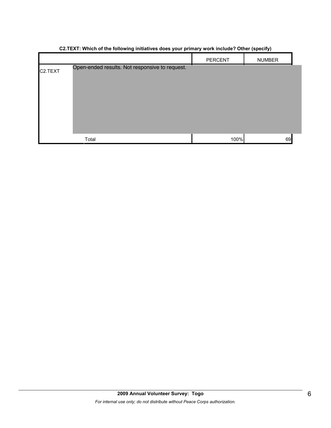|         | <br>----- 1-r- <i>--</i> 11                    |         |               |  |
|---------|------------------------------------------------|---------|---------------|--|
|         |                                                | PERCENT | <b>NUMBER</b> |  |
| C2.TEXT | Open-ended results. Not responsive to request. |         |               |  |
|         | Total                                          | 100%    | 69            |  |

## **C2.TEXT: Which of the following initiatives does your primary work include? Other (specify)**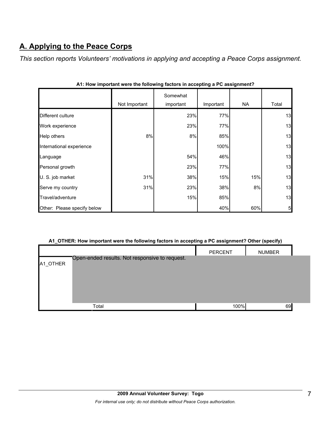# **A. Applying to the Peace Corps**

*This section reports Volunteers' motivations in applying and accepting a Peace Corps assignment.* 

|                             | Not Important | Somewhat<br>important | Important | NA. | Total |
|-----------------------------|---------------|-----------------------|-----------|-----|-------|
| Different culture           |               | 23%                   | 77%       |     | 13    |
| Work experience             |               | 23%                   | 77%       |     | 13    |
| Help others                 | 8%            | 8%                    | 85%       |     | 13    |
| International experience    |               |                       | 100%      |     | 13    |
| Language                    |               | 54%                   | 46%       |     | 13    |
| Personal growth             |               | 23%                   | 77%       |     | 13    |
| U. S. job market            | 31%           | 38%                   | 15%       | 15% | 13    |
| Serve my country            | 31%           | 23%                   | 38%       | 8%  | 13    |
| Travel/adventure            |               | 15%                   | 85%       |     | 13    |
| Other: Please specify below |               |                       | 40%       | 60% | 5     |

| A1: How important were the following factors in accepting a PC assignment? |  |  |
|----------------------------------------------------------------------------|--|--|
|                                                                            |  |  |

### **A1\_OTHER: How important were the following factors in accepting a PC assignment? Other (specify)**

|          |                                                | <b>PERCENT</b> | <b>NUMBER</b> |  |
|----------|------------------------------------------------|----------------|---------------|--|
|          | Open-ended results. Not responsive to request. |                |               |  |
| A1 OTHER |                                                |                |               |  |
|          |                                                |                |               |  |
|          |                                                |                |               |  |
|          |                                                |                |               |  |
|          |                                                |                |               |  |
|          |                                                |                |               |  |
|          |                                                |                |               |  |
|          | Total                                          | 100%           | 69            |  |
|          |                                                |                |               |  |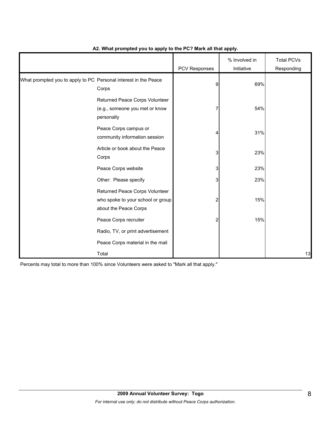|                                                                 |                                                                                              | PCV Responses | % Involved in<br>Initiative | <b>Total PCVs</b><br>Responding |
|-----------------------------------------------------------------|----------------------------------------------------------------------------------------------|---------------|-----------------------------|---------------------------------|
| What prompted you to apply to PC Personal interest in the Peace | Corps                                                                                        | 9             | 69%                         |                                 |
|                                                                 | Returned Peace Corps Volunteer<br>(e.g., someone you met or know<br>personally               | 7             | 54%                         |                                 |
|                                                                 | Peace Corps campus or<br>community information session                                       | 4             | 31%                         |                                 |
|                                                                 | Article or book about the Peace<br>Corps                                                     | 3             | 23%                         |                                 |
|                                                                 | Peace Corps website                                                                          | 3             | 23%                         |                                 |
|                                                                 | Other: Please specify                                                                        | 3             | 23%                         |                                 |
|                                                                 | Returned Peace Corps Volunteer<br>who spoke to your school or group<br>about the Peace Corps | 2             | 15%                         |                                 |
|                                                                 | Peace Corps recruiter                                                                        | 2             | 15%                         |                                 |
|                                                                 | Radio, TV, or print advertisement                                                            |               |                             |                                 |
|                                                                 | Peace Corps material in the mail                                                             |               |                             |                                 |
|                                                                 | Total                                                                                        |               |                             | 13                              |

### **A2. What prompted you to apply to the PC? Mark all that apply.**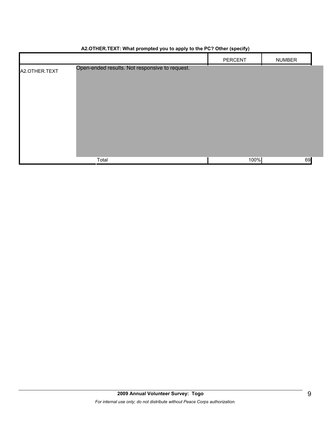|               |                                                | PERCENT | <b>NUMBER</b> |
|---------------|------------------------------------------------|---------|---------------|
| A2.OTHER.TEXT | Open-ended results. Not responsive to request. |         |               |
|               |                                                |         |               |
|               |                                                |         |               |
|               |                                                |         |               |
|               |                                                |         |               |
|               |                                                |         |               |
|               |                                                |         |               |
|               |                                                |         |               |
|               | Total                                          | 100%    | 69            |

## **A2.OTHER.TEXT: What prompted you to apply to the PC? Other (specify)**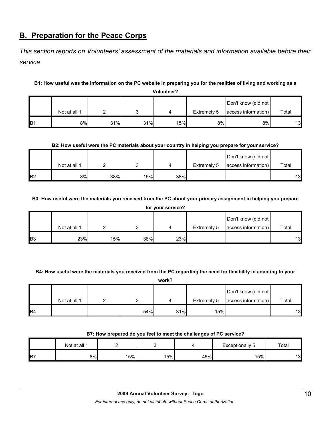# **B. Preparation for the Peace Corps**

*This section reports on Volunteers' assessment of the materials and information available before their service* 

## **B1: How useful was the information on the PC website in preparing you for the realities of living and working as a**

**Volunteer?**

|                 |              |     |     |     |             | Don't know (did not |       |
|-----------------|--------------|-----|-----|-----|-------------|---------------------|-------|
|                 | Not at all 1 |     |     |     | Extremely 5 | access information) | Total |
| IB <sub>1</sub> | 8%           | 31% | 31% | 15% | 8%          | 8%                  | 13    |

## **B2: How useful were the PC materials about your country in helping you prepare for your service?**

|                 | Not at all 1 |     |     |     | Extremely 5 | Don't know (did not<br>access information) | Total |
|-----------------|--------------|-----|-----|-----|-------------|--------------------------------------------|-------|
| IB <sub>2</sub> | 8%           | 38% | 15% | 38% |             |                                            | 13    |

## **B3: How useful were the materials you received from the PC about your primary assignment in helping you prepare**

| for your service? |              |     |     |     |             |                     |       |
|-------------------|--------------|-----|-----|-----|-------------|---------------------|-------|
|                   |              |     |     |     |             | Don't know (did not |       |
|                   | Not at all 1 |     |     |     | Extremely 5 | access information) | Total |
| B <sub>3</sub>    | 23%          | 15% | 38% | 23% |             |                     | 13    |

### **B4: How useful were the materials you received from the PC regarding the need for flexibility in adapting to your**

|                | work?        |  |     |     |             |                     |       |  |
|----------------|--------------|--|-----|-----|-------------|---------------------|-------|--|
|                |              |  |     |     |             | Don't know (did not |       |  |
|                | Not at all 1 |  |     | 4   | Extremely 5 | access information) | Total |  |
| B <sub>4</sub> |              |  | 54% | 31% | 15%         |                     | 13    |  |

### **B7: How prepared do you feel to meet the challenges of PC service?**

|                | Not at all 1 | -   |     |     | Exceptionally 5 | Total |
|----------------|--------------|-----|-----|-----|-----------------|-------|
| B <sub>7</sub> | 8%           | 15% | 15% | 46% | 15%             | 13    |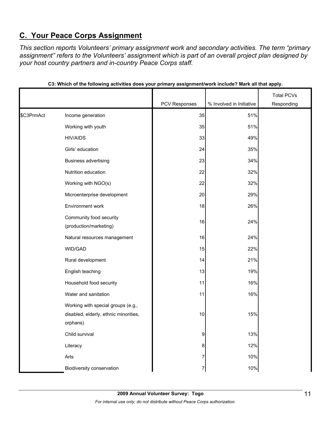# **C. Your Peace Corps Assignment**

*This section reports Volunteers' primary assignment work and secondary activities. The term "primary assignment" refers to the Volunteers' assignment which is part of an overall project plan designed by your host country partners and in-country Peace Corps staff.* 

|            |                                                                                         | PCV Responses | % Involved in Initiative | <b>Total PCVs</b><br>Responding |
|------------|-----------------------------------------------------------------------------------------|---------------|--------------------------|---------------------------------|
| \$C3PrmAct |                                                                                         | 35            | 51%                      |                                 |
|            | Income generation                                                                       |               |                          |                                 |
|            | Working with youth                                                                      | 35            | 51%                      |                                 |
|            | <b>HIV/AIDS</b>                                                                         | 33            | 49%                      |                                 |
|            | Girls' education                                                                        | 24            | 35%                      |                                 |
|            | <b>Business advertising</b>                                                             | 23            | 34%                      |                                 |
|            | Nutrition education                                                                     | 22            | 32%                      |                                 |
|            | Working with NGO(s)                                                                     | 22            | 32%                      |                                 |
|            | Microenterprise development                                                             | 20            | 29%                      |                                 |
|            | Environment work                                                                        | 18            | 26%                      |                                 |
|            | Community food security<br>(production/marketing)                                       | 16            | 24%                      |                                 |
|            | Natural resources management                                                            | 16            | 24%                      |                                 |
|            | WID/GAD                                                                                 | 15            | 22%                      |                                 |
|            | Rural development                                                                       | 14            | 21%                      |                                 |
|            | English teaching                                                                        | 13            | 19%                      |                                 |
|            | Household food security                                                                 | 11            | 16%                      |                                 |
|            | Water and sanitation                                                                    | 11            | 16%                      |                                 |
|            | Working with special groups (e.g.,<br>disabled, elderly, ethnic minorities,<br>orphans) | 10            | 15%                      |                                 |
|            | Child survival                                                                          | 9             | 13%                      |                                 |
|            | Literacy                                                                                | 8             | 12%                      |                                 |
|            | Arts                                                                                    | 7             | 10%                      |                                 |
|            | Biodiversity conservation                                                               | 7             | 10%                      |                                 |

**C3: Which of the following activities does your primary assignment/work include? Mark all that apply.**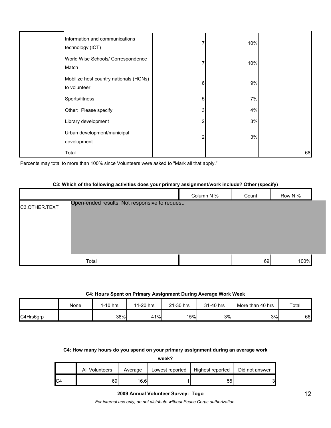| Information and communications<br>technology (ICT)     |   | 10% |    |
|--------------------------------------------------------|---|-----|----|
| World Wise Schools/ Correspondence<br>Match            |   | 10% |    |
| Mobilize host country nationals (HCNs)<br>to volunteer | 6 | 9%  |    |
| Sports/fitness                                         | 5 | 7%  |    |
| Other: Please specify                                  | 3 | 4%  |    |
| Library development                                    | 2 | 3%  |    |
| Urban development/municipal<br>development             |   | 3%  |    |
| Total                                                  |   |     | 68 |

Percents may total to more than 100% since Volunteers were asked to "Mark all that apply."

## **C3: Which of the following activities does your primary assignment/work include? Other (specify)**

|               |                                                | Column N % | Count | Row N % |  |
|---------------|------------------------------------------------|------------|-------|---------|--|
| C3.OTHER.TEXT | Open-ended results. Not responsive to request. |            |       |         |  |
|               |                                                |            |       |         |  |
|               |                                                |            |       |         |  |
|               |                                                |            |       |         |  |
|               |                                                |            |       |         |  |
|               | Total                                          |            | 69    | 100%    |  |

#### **C4: Hours Spent on Primary Assignment During Average Work Week**

|           | None | $1-10$ hrs | 11-20 hrs | 21-30 hrs | 31-40 hrs | More than 40 hrs | Total |
|-----------|------|------------|-----------|-----------|-----------|------------------|-------|
| C4Hrs6grp |      | 38%        | 41%       | 15%       | 3%        | 3%               | 66    |

#### **C4: How many hours do you spend on your primary assignment during an average work**

**week?**

|     | All Volunteers | Average | Lowest reported | Highest reported | Did not answer |
|-----|----------------|---------|-----------------|------------------|----------------|
| IC4 | 69             | 16.6    |                 | 55.              | 3              |

#### **2009 Annual Volunteer Survey: Togo**

*For internal use only; do not distribute without Peace Corps authorization.*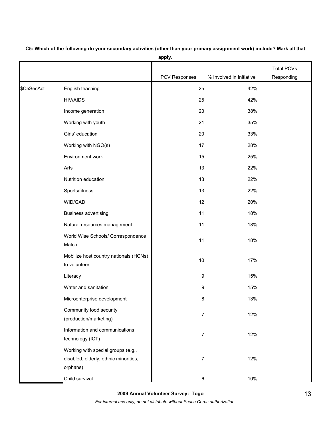|            |                                                                                         |                  |                          | <b>Total PCVs</b> |
|------------|-----------------------------------------------------------------------------------------|------------------|--------------------------|-------------------|
|            |                                                                                         | PCV Responses    | % Involved in Initiative | Responding        |
| \$C5SecAct | English teaching                                                                        | 25               | 42%                      |                   |
|            | <b>HIV/AIDS</b>                                                                         | 25               | 42%                      |                   |
|            | Income generation                                                                       | 23               | 38%                      |                   |
|            | Working with youth                                                                      | 21               | 35%                      |                   |
|            | Girls' education                                                                        | 20               | 33%                      |                   |
|            | Working with NGO(s)                                                                     | 17               | 28%                      |                   |
|            | Environment work                                                                        | 15               | 25%                      |                   |
|            | Arts                                                                                    | 13               | 22%                      |                   |
|            | Nutrition education                                                                     | 13               | 22%                      |                   |
|            | Sports/fitness                                                                          | 13               | 22%                      |                   |
|            | WID/GAD                                                                                 | 12               | 20%                      |                   |
|            | <b>Business advertising</b>                                                             | 11               | 18%                      |                   |
|            | Natural resources management                                                            | 11               | 18%                      |                   |
|            | World Wise Schools/ Correspondence<br>Match                                             | 11               | 18%                      |                   |
|            | Mobilize host country nationals (HCNs)<br>to volunteer                                  | 10               | 17%                      |                   |
|            | Literacy                                                                                | 9                | 15%                      |                   |
|            | Water and sanitation                                                                    | 9                | 15%                      |                   |
|            | Microenterprise development                                                             | 8                | 13%                      |                   |
|            | Community food security<br>(production/marketing)                                       | 7                | 12%                      |                   |
|            | Information and communications<br>technology (ICT)                                      | 7                | 12%                      |                   |
|            | Working with special groups (e.g.,<br>disabled, elderly, ethnic minorities,<br>orphans) |                  | 12%                      |                   |
|            | Child survival                                                                          | $6 \overline{6}$ | 10%                      |                   |

**C5: Which of the following do your secondary activities (other than your primary assignment work) include? Mark all that apply.**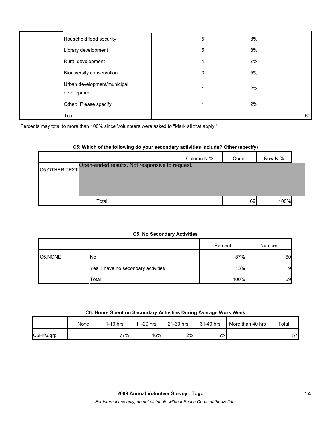| Household food security                    | 5            | 8% |    |
|--------------------------------------------|--------------|----|----|
| Library development                        | 5            | 8% |    |
| Rural development                          | 4            | 7% |    |
| Biodiversity conservation                  | $\mathbf{3}$ | 5% |    |
| Urban development/municipal<br>development |              | 2% |    |
| Other: Please specify                      |              | 2% |    |
| Total                                      |              |    | 60 |

Percents may total to more than 100% since Volunteers were asked to "Mark all that apply."

#### **C5: Which of the following do your secondary activities include? Other (specify)**

|                                                                 | Column N % | Count | Row N % |  |
|-----------------------------------------------------------------|------------|-------|---------|--|
| Open-ended results. Not responsive to request.<br>C5.OTHER.TEXT |            |       |         |  |
|                                                                 |            |       |         |  |
|                                                                 |            |       |         |  |
| Total                                                           |            | 69    | 100%    |  |

#### **C5: No Secondary Activities**

|         |                                     | Percent | Number |
|---------|-------------------------------------|---------|--------|
| C5.NONE | No                                  | 87%     | 60     |
|         | Yes, I have no secondary activities | 13%     | 9      |
|         | Total                               | 100%    | 69     |

### **C6: Hours Spent on Secondary Activities During Average Work Week**

|           | None | $1-10$ hrs | 11-20 hrs | 21-30 hrs | 31-40 hrs | More than 40 hrs | Total |
|-----------|------|------------|-----------|-----------|-----------|------------------|-------|
| C6Hrs6grp |      | 77%        | 16%       | 2%        | 5%        |                  | 57    |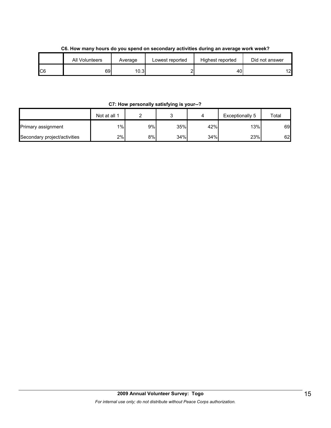|    |                |         |                 | . .<br>. .       |                |
|----|----------------|---------|-----------------|------------------|----------------|
|    | All Volunteers | Average | Lowest reported | Highest reported | Did not answer |
| C6 | 69             | 10.3    |                 | 40               | $\sqrt{2}$     |

**C6. How many hours do you spend on secondary activities during an average work week?**

**C7: How personally satisfying is your--?**

|                              | Not at all 1 |    | J   |     | Exceptionally 5 | Total |
|------------------------------|--------------|----|-----|-----|-----------------|-------|
| Primary assignment           | $1\%$        | 9% | 35% | 42% | 13%             | 69    |
| Secondary project/activities | 2%           | 8% | 34% | 34% | 23%             | 62    |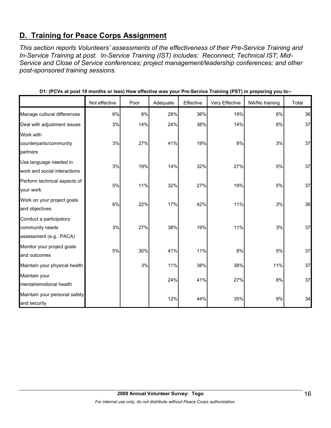# **D. Training for Peace Corps Assignment**

*This section reports Volunteers' assessments of the effectiveness of their Pre-Service Training and In-Service Training at post. In-Service Training (IST) includes: Reconnect; Technical IST; Mid-Service and Close of Service conferences; project management/leadership conferences; and other post-sponsored training sessions.* 

|                               |               |      |          |           | ັ່             | - 11<br>ັ້     |       |
|-------------------------------|---------------|------|----------|-----------|----------------|----------------|-------|
|                               | Not effective | Poor | Adequate | Effective | Very Effective | NA/No training | Total |
| Manage cultural differences   | 6%            | 6%   | 28%      | 36%       | 19%            | 6%             | 36    |
| Deal with adjustment issues   | 3%            | 14%  | 24%      | 38%       | 14%            | $8\%$          | 37    |
| Work with                     |               |      |          |           |                |                |       |
| counterparts/community        | 3%            | 27%  | 41%      | 19%       | 8%             | 3%             | 37    |
| partners                      |               |      |          |           |                |                |       |
| Use language needed in        | 3%            | 19%  | 14%      | 32%       | 27%            | 5%             | 37    |
| work and social interactions  |               |      |          |           |                |                |       |
| Perform technical aspects of  | 5%            | 11%  | 32%      | 27%       | 19%            | 5%             | 37    |
| your work                     |               |      |          |           |                |                |       |
| Work on your project goals    | 6%            | 22%  | 17%      | 42%       | 11%            | 3%             | 36    |
| and objectives                |               |      |          |           |                |                |       |
| Conduct a participatory       |               |      |          |           |                |                |       |
| community needs               | 3%            | 27%  | 38%      | 19%       | 11%            | 3%             | 37    |
| assessment (e.g., PACA)       |               |      |          |           |                |                |       |
| Monitor your project goals    | 5%            | 30%  | 41%      | 11%       | 8%             | 5%             | 37    |
| and outcomes                  |               |      |          |           |                |                |       |
| Maintain your physical health |               | 3%   | 11%      | 38%       | 38%            | 11%            | 37    |
| Maintain your                 |               |      | 24%      | 41%       | 27%            | 8%             | 37    |
| mental/emotional health       |               |      |          |           |                |                |       |
| Maintain your personal safety |               |      |          |           |                | 9%             | 34    |
| and security                  |               |      | 12%      | 44%       | 35%            |                |       |

**D1: (PCVs at post 18 months or less) How effective was your Pre-Service Training (PST) in preparing you to--**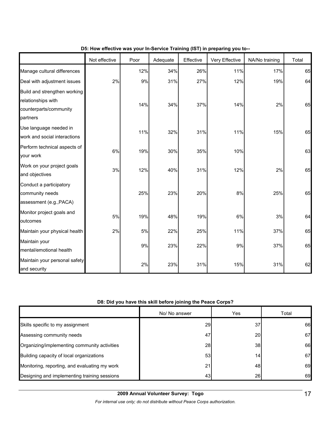|                                                                                          | Not effective | Poor  | Adequate | Effective | Very Effective | NA/No training | Total |
|------------------------------------------------------------------------------------------|---------------|-------|----------|-----------|----------------|----------------|-------|
| Manage cultural differences                                                              |               | 12%   | 34%      | 26%       | 11%            | 17%            | 65    |
| Deal with adjustment issues                                                              | 2%            | 9%    | 31%      | 27%       | 12%            | 19%            | 64    |
| Build and strengthen working<br>relationships with<br>counterparts/community<br>partners |               | 14%   | 34%      | 37%       | 14%            | 2%             | 65    |
| Use language needed in<br>work and social interactions                                   |               | 11%   | 32%      | 31%       | 11%            | 15%            | 65    |
| Perform technical aspects of<br>your work                                                | 6%            | 19%   | 30%      | 35%       | 10%            |                | 63    |
| Work on your project goals<br>and objectives                                             | 3%            | 12%   | 40%      | 31%       | 12%            | 2%             | 65    |
| Conduct a participatory<br>community needs<br>assessment (e.g., PACA)                    |               | 25%   | 23%      | 20%       | 8%             | 25%            | 65    |
| Monitor project goals and<br>outcomes                                                    | 5%            | 19%   | 48%      | 19%       | 6%             | 3%             | 64    |
| Maintain your physical health                                                            | 2%            | 5%    | 22%      | 25%       | 11%            | 37%            | 65    |
| Maintain your<br>mental/emotional health                                                 |               | $9\%$ | 23%      | 22%       | 9%             | 37%            | 65    |
| Maintain your personal safety<br>and security                                            |               | 2%    | 23%      | 31%       | 15%            | 31%            | 62    |

## **D5: How effective was your In-Service Training (IST) in preparing you to--**

## **D8: Did you have this skill before joining the Peace Corps?**

|                                               | No/ No answer | Yes             | Total |
|-----------------------------------------------|---------------|-----------------|-------|
| Skills specific to my assignment              | 29            | 37              | 66    |
| Assessing community needs                     | 47            | 20I             | 67    |
| Organizing/implementing community activities  | 28            | 38 <sup>l</sup> | 66    |
| Building capacity of local organizations      | 53            | 14.             | 67    |
| Monitoring, reporting, and evaluating my work | 21            | 48              | 69    |
| Designing and implementing training sessions  | 43            | 26              | 69    |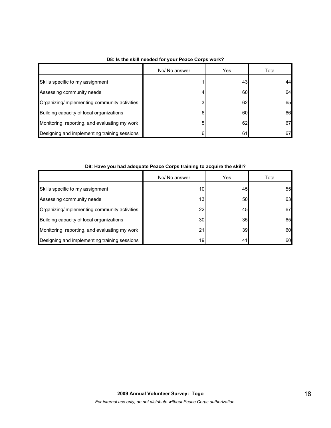|                                               | No/ No answer | Yes | Total |
|-----------------------------------------------|---------------|-----|-------|
| Skills specific to my assignment              |               | 43  | 44    |
| Assessing community needs                     | 4             | 60  | 64    |
| Organizing/implementing community activities  | 3             | 62  | 65    |
| Building capacity of local organizations      | 6             | 60  | 66    |
| Monitoring, reporting, and evaluating my work | 5             | 62  | 67    |
| Designing and implementing training sessions  | ิค            | 61  | 67    |

## **D8: Is the skill needed for your Peace Corps work?**

| D8: Have you had adequate Peace Corps training to acquire the skill? |  |  |
|----------------------------------------------------------------------|--|--|
|----------------------------------------------------------------------|--|--|

|                                               | No/ No answer   | Yes | Total |
|-----------------------------------------------|-----------------|-----|-------|
| Skills specific to my assignment              | 10              | 45  | 55    |
| Assessing community needs                     | 13 <sub>1</sub> | 50  | 63    |
| Organizing/implementing community activities  | 22              | 45  | 67    |
| Building capacity of local organizations      | 30              | 35  | 65    |
| Monitoring, reporting, and evaluating my work | 21              | 39  | 60    |
| Designing and implementing training sessions  | 19              | 41  | 60    |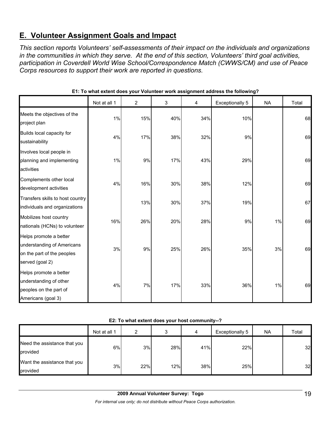# **E. Volunteer Assignment Goals and Impact**

*This section reports Volunteers' self-assessments of their impact on the individuals and organizations in the communities in which they serve. At the end of this section, Volunteers' third goal activities, participation in Coverdell World Wise School/Correspondence Match (CWWS/CM) and use of Peace Corps resources to support their work are reported in questions.* 

|                                                                                                       | Not at all 1 | $\overline{2}$ | 3   | 4   | <b>Exceptionally 5</b> | <b>NA</b> | Total |
|-------------------------------------------------------------------------------------------------------|--------------|----------------|-----|-----|------------------------|-----------|-------|
| Meets the objectives of the<br>project plan                                                           | 1%           | 15%            | 40% | 34% | 10%                    |           | 68    |
| Builds local capacity for<br>sustainability                                                           | 4%           | 17%            | 38% | 32% | 9%                     |           | 69    |
| Involves local people in<br>planning and implementing<br>activities                                   | 1%           | 9%             | 17% | 43% | 29%                    |           | 69    |
| Complements other local<br>development activities                                                     | 4%           | 16%            | 30% | 38% | 12%                    |           | 69    |
| Transfers skills to host country<br>individuals and organizations                                     |              | 13%            | 30% | 37% | 19%                    |           | 67    |
| Mobilizes host country<br>nationals (HCNs) to volunteer                                               | 16%          | 26%            | 20% | 28% | 9%                     | 1%        | 69    |
| Helps promote a better<br>understanding of Americans<br>on the part of the peoples<br>served (goal 2) | 3%           | 9%             | 25% | 26% | 35%                    | 3%        | 69    |
| Helps promote a better<br>understanding of other<br>peoples on the part of<br>Americans (goal 3)      | 4%           | 7%             | 17% | 33% | 36%                    | 1%        | 69    |

**E1: To what extent does your Volunteer work assignment address the following?**

#### **E2: To what extent does your host community--?**

|                                          | Not at all 1 | 2   |     | 4   | Exceptionally 5 | <b>NA</b> | Total |
|------------------------------------------|--------------|-----|-----|-----|-----------------|-----------|-------|
| Need the assistance that you<br>provided | 6%           | 3%  | 28% | 41% | 22%             |           | 32    |
| Want the assistance that you<br>provided | 3%           | 22% | 12% | 38% | 25%             |           | 32    |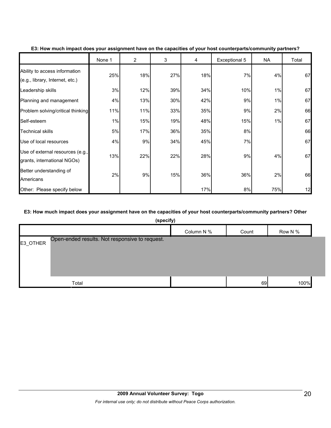|                                                                  | None 1 | $\overline{2}$ | 3   | 4   | Exceptional 5 | NA  | Total |
|------------------------------------------------------------------|--------|----------------|-----|-----|---------------|-----|-------|
| Ability to access information<br>(e.g., library, Internet, etc.) | 25%    | 18%            | 27% | 18% | 7%            | 4%  | 67    |
| Leadership skills                                                | 3%     | 12%            | 39% | 34% | 10%           | 1%  | 67    |
| Planning and management                                          | 4%     | 13%            | 30% | 42% | 9%            | 1%  | 67    |
| Problem solving/critical thinking                                | 11%    | 11%            | 33% | 35% | 9%            | 2%  | 66    |
| Self-esteem                                                      | 1%     | 15%            | 19% | 48% | 15%           | 1%  | 67    |
| <b>Technical skills</b>                                          | 5%     | 17%            | 36% | 35% | 8%            |     | 66    |
| Use of local resources                                           | 4%     | 9%             | 34% | 45% | 7%            |     | 67    |
| Use of external resources (e.g.,<br>grants, international NGOs)  | 13%    | 22%            | 22% | 28% | 9%            | 4%  | 67    |
| Better understanding of<br>Americans                             | 2%     | 9%             | 15% | 36% | 36%           | 2%  | 66    |
| Other: Please specify below                                      |        |                |     | 17% | 8%            | 75% | 12    |

#### **E3: How much impact does your assignment have on the capacities of your host counterparts/community partners?**

### **E3: How much impact does your assignment have on the capacities of your host counterparts/community partners? Other**

|          | (specify)                                      |            |       |         |  |
|----------|------------------------------------------------|------------|-------|---------|--|
|          |                                                | Column N % | Count | Row N % |  |
| E3_OTHER | Open-ended results. Not responsive to request. |            |       |         |  |
|          | Total                                          |            | 69    | 100%    |  |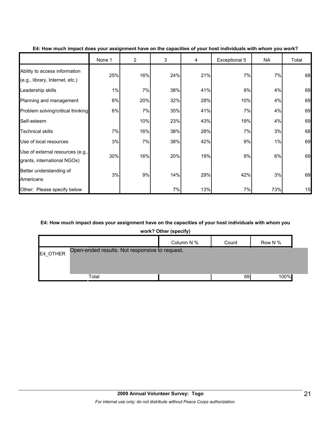|                                                                  | None 1 | $\overline{2}$ | 3   | 4   | Exceptional 5 | NA  | Total |
|------------------------------------------------------------------|--------|----------------|-----|-----|---------------|-----|-------|
| Ability to access information<br>(e.g., library, Internet, etc.) | 25%    | 16%            | 24% | 21% | 7%            | 7%  | 68    |
| Leadership skills                                                | 1%     | 7%             | 38% | 41% | 9%            | 4%  | 69    |
| Planning and management                                          | 6%     | 20%            | 32% | 28% | 10%           | 4%  | 69    |
| Problem solving/critical thinking                                | 6%     | 7%             | 35% | 41% | 7%            | 4%  | 69    |
| Self-esteem                                                      |        | 10%            | 23% | 43% | 19%           | 4%  | 69    |
| <b>Technical skills</b>                                          | 7%     | 16%            | 38% | 28% | 7%            | 3%  | 68    |
| Use of local resources                                           | 3%     | 7%             | 38% | 42% | 9%            | 1%  | 69    |
| Use of external resources (e.g.,<br>grants, international NGOs)  | 30%    | 16%            | 20% | 19% | 9%            | 6%  | 69    |
| Better understanding of<br>Americans                             | 3%     | 9%             | 14% | 29% | 42%           | 3%  | 69    |
| Other: Please specify below                                      |        |                | 7%  | 13% | 7%            | 73% | 15    |

#### **E4: How much impact does your assignment have on the capacities of your host individuals with whom you work?**

### **E4: How much impact does your assignment have on the capacities of your host individuals with whom you**

**work? Other (specify)**

|          |                                                | Column N % | Count | Row N % |  |
|----------|------------------------------------------------|------------|-------|---------|--|
| E4 OTHER | Open-ended results. Not responsive to request. |            |       |         |  |
|          |                                                |            |       |         |  |
|          | Total                                          |            | 69    | 100%    |  |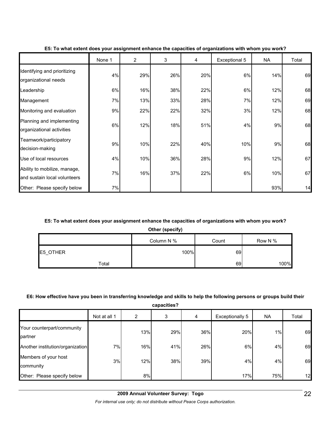|                                                              | None 1 | 2   | 3   | 4   | Exceptional 5 | <b>NA</b> | Total |
|--------------------------------------------------------------|--------|-----|-----|-----|---------------|-----------|-------|
| Identifying and prioritizing<br>organizational needs         | 4%     | 29% | 26% | 20% | 6%            | 14%       | 69    |
| Leadership                                                   | 6%     | 16% | 38% | 22% | 6%            | 12%       | 68    |
| Management                                                   | 7%     | 13% | 33% | 28% | 7%            | 12%       | 69    |
| Monitoring and evaluation                                    | 9%     | 22% | 22% | 32% | 3%            | 12%       | 68    |
| Planning and implementing<br>organizational activities       | 6%     | 12% | 18% | 51% | 4%            | 9%        | 68    |
| Teamwork/participatory<br>decision-making                    | 9%     | 10% | 22% | 40% | 10%           | 9%        | 68    |
| Use of local resources                                       | 4%     | 10% | 36% | 28% | 9%            | 12%       | 67    |
| Ability to mobilize, manage,<br>and sustain local volunteers | 7%     | 16% | 37% | 22% | 6%            | 10%       | 67    |
| Other: Please specify below                                  | 7%     |     |     |     |               | 93%       | 14    |

#### **E5: To what extent does your assignment enhance the capacities of organizations with whom you work?**

# **E5: To what extent does your assignment enhance the capacities of organizations with whom you work?**

**Other (specify)**

|          | Column N % | Count | Row N % |
|----------|------------|-------|---------|
| E5_OTHER | 100%       | 69    |         |
| Total    |            | 69    | 100%    |

### **E6: How effective have you been in transferring knowledge and skills to help the following persons or groups build their**

**capacities?**

|                                       | Not at all 1 | 2   | 3   | 4   | Exceptionally 5 | NA    | Total |
|---------------------------------------|--------------|-----|-----|-----|-----------------|-------|-------|
| Your counterpart/community<br>partner |              | 13% | 29% | 36% | 20%             | $1\%$ | 69    |
| Another institution/organization      | 7%           | 16% | 41% | 26% | 6%              | 4%    | 69    |
| Members of your host<br>community     | 3%           | 12% | 38% | 39% | 4%              | 4%    | 69    |
| Other: Please specify below           |              | 8%  |     |     | 17%             | 75%   | 12    |

*For internal use only; do not distribute without Peace Corps authorization.*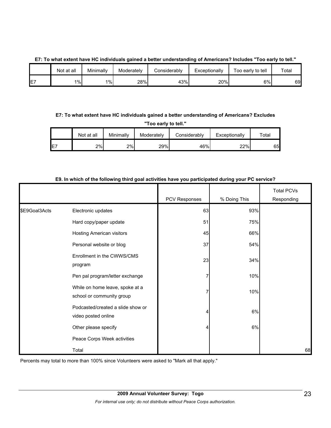## **E7: To what extent have HC individuals gained a better understanding of Americans? Includes "Too early to tell."**

|             | Not at all | Minimally | Moderately | ا Considerably | Exceptionally | Too early to tell | Total |
|-------------|------------|-----------|------------|----------------|---------------|-------------------|-------|
| $- -$<br>E1 | $1\%$      | $1\%$     | 28%        | 43%            | 20%           | 6%                | 69    |

### **E7: To what extent have HC individuals gained a better understanding of Americans? Excludes**

**"Too early to tell."**

|     | Not at all | Minimallv | Moderately | Considerably | Exceptionally | $\tau$ otal |
|-----|------------|-----------|------------|--------------|---------------|-------------|
| IE7 | 2%         | 2%        | 29%        | 46%          | 22%           | 65          |

|               |                                                              | PCV Responses | % Doing This | <b>Total PCVs</b><br>Responding |
|---------------|--------------------------------------------------------------|---------------|--------------|---------------------------------|
| \$E9Goal3Acts | Electronic updates                                           | 63            | 93%          |                                 |
|               | Hard copy/paper update                                       | 51            | 75%          |                                 |
|               | <b>Hosting American visitors</b>                             | 45            | 66%          |                                 |
|               | Personal website or blog                                     | 37            | 54%          |                                 |
|               | Enrollment in the CWWS/CMS<br>program                        | 23            | 34%          |                                 |
|               | Pen pal program/letter exchange                              | 7             | 10%          |                                 |
|               | While on home leave, spoke at a<br>school or community group | 7             | 10%          |                                 |
|               | Podcasted/created a slide show or<br>video posted online     | 4             | 6%           |                                 |
|               | Other please specify                                         | 4             | 6%           |                                 |
|               | Peace Corps Week activities                                  |               |              |                                 |
|               | Total                                                        |               |              | 68                              |

#### **E9. In which of the following third goal activities have you participated during your PC service?**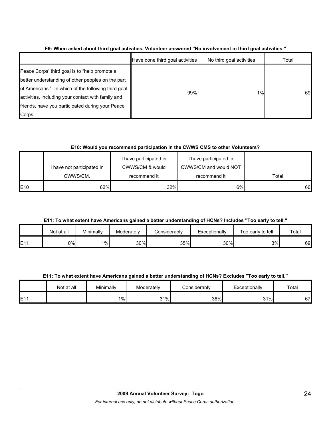|                                                                                                                                                                                                                                                                              | Have done third goal activities | No third goal activities | Total |
|------------------------------------------------------------------------------------------------------------------------------------------------------------------------------------------------------------------------------------------------------------------------------|---------------------------------|--------------------------|-------|
| Peace Corps' third goal is to "help promote a<br>better understanding of other peoples on the part<br>of Americans." In which of the following third goal<br>activities, including your contact with family and<br>friends, have you participated during your Peace<br>Corps | 99%                             | 1%                       | 69    |

**E9: When asked about third goal activities, Volunteer answered "No involvement in third goal activities."** 

## **E10: Would you recommend participation in the CWWS CMS to other Volunteers?**

|            | I have not participated in<br>CWWS/CM. | CWWS/CM & would<br>recommend it | CWWS/CM and would NOT<br>recommend it | Total |
|------------|----------------------------------------|---------------------------------|---------------------------------------|-------|
| <b>E10</b> | 62%                                    | 32%                             | 6%                                    | 66    |

**E11: To what extent have Americans gained a better understanding of HCNs? Includes "Too early to tell."**

|     | Not at all | Minimally | Moderately | <b>Considerably</b> | Exceptionally | Γοο earlν to tell | Total |
|-----|------------|-----------|------------|---------------------|---------------|-------------------|-------|
| E11 | 0%         | $1\%$     | 30%        | 35%                 | 30%           | 3%                | 69    |

**E11: To what extent have Americans gained a better understanding of HCNs? Excludes "Too early to tell."**

|     | Not at all | Minimally | Moderately | Considerably | Exceptionally | Total |
|-----|------------|-----------|------------|--------------|---------------|-------|
| E11 |            | 1%        | 31%        | 36%          | 31%           | 67    |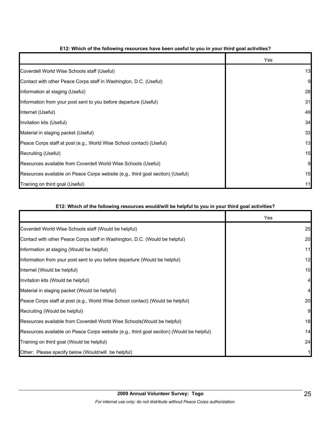|                                                                                | Yes |
|--------------------------------------------------------------------------------|-----|
| Coverdell World Wise Schools staff (Useful)                                    | 13  |
| Contact with other Peace Corps staff in Washington, D.C. (Useful)              | 9   |
| Information at staging (Useful)                                                | 28  |
| Information from your post sent to you before departure (Useful)               | 31  |
| Internet (Useful)                                                              | 49  |
| Invitation kits (Useful)                                                       | 34  |
| Material in staging packet (Useful)                                            | 33  |
| Peace Corps staff at post (e.g., World Wise School contact) (Useful)           | 13  |
| Recruiting (Useful)                                                            | 15  |
| Resources available from Coverdell World Wise Schools (Useful)                 | 9   |
| Resources available on Peace Corps website (e.g., third goal section) (Useful) | 15  |
| Training on third goal (Useful)                                                |     |

### **E12: Which of the following resources have been useful to you in your third goal activities?**

## **E12: Which of the following resources would/will be helpful to you in your third goal activities?**

|                                                                                          | <b>Yes</b> |
|------------------------------------------------------------------------------------------|------------|
| Coverdell World Wise Schools staff (Would be helpful)                                    | 25         |
| Contact with other Peace Corps staff in Washington, D.C. (Would be helpful)              | 20         |
| Information at staging (Would be helpful)                                                | 11         |
| Information from your post sent to you before departure (Would be helpful)               | 12         |
| Internet (Would be helpful)                                                              | 10         |
| Invitation kits (Would be helpful)                                                       |            |
| Material in staging packet (Would be helpful)                                            |            |
| Peace Corps staff at post (e.g., World Wise School contact) (Would be helpful)           | 20         |
| Recruiting (Would be helpful)                                                            | 9          |
| Resources available from Coverdell World Wise Schools(Would be helpful)                  | 18         |
| Resources available on Peace Corps website (e.g., third goal section) (Would be helpful) | 14         |
| Training on third goal (Would be helpful)                                                | 24         |
| Other: Please specify below (Would/will be helpful)                                      |            |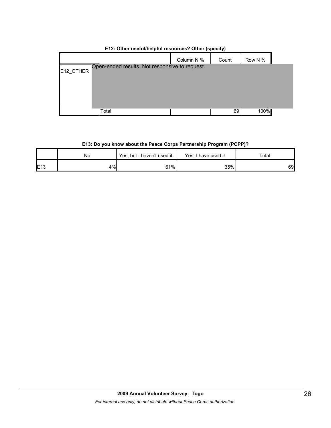|           |                                                | Column N % | Count | Row N % |  |
|-----------|------------------------------------------------|------------|-------|---------|--|
| E12_OTHER | Open-ended results. Not responsive to request. |            |       |         |  |
|           |                                                |            |       |         |  |
|           |                                                |            |       |         |  |
|           |                                                |            |       |         |  |
|           | Total                                          |            | 69    | 100%    |  |

# **E12: Other useful/helpful resources? Other (specify)**

## **E13: Do you know about the Peace Corps Partnership Program (PCPP)?**

|             | No | Yes, but I haven't used it. | Yes, I have used it. | ™ota⊩ |
|-------------|----|-----------------------------|----------------------|-------|
| <b>E</b> 13 | 4% | 61%                         | 35%                  | 69    |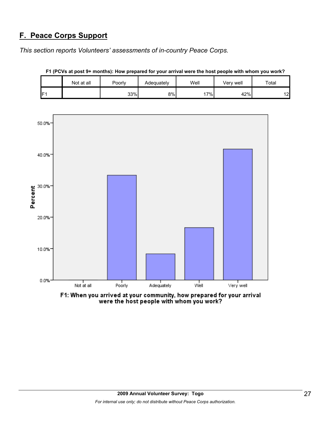# **F. Peace Corps Support**

*This section reports Volunteers' assessments of in-country Peace Corps.* 

|                 | Not at all | Poorly | Adequately | Well | Verv well | Total |
|-----------------|------------|--------|------------|------|-----------|-------|
| IF <sub>1</sub> |            | 33%    | 8%l        | 7%   | 42%       | 12    |

**F1 (PCVs at post 9+ months): How prepared for your arrival were the host people with whom you work?**



F1: When you arrived at your community, how prepared for your arrival<br>were the host people with whom you work?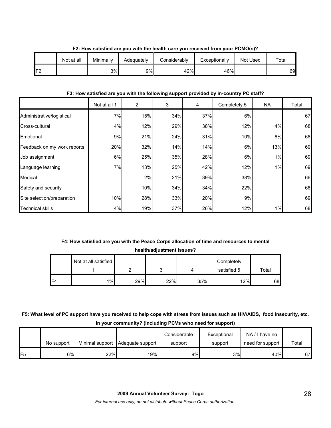|     | Not at all | Minimally | Adequately | Considerably | Exceptionally | Not Used | $\tau$ otal |
|-----|------------|-----------|------------|--------------|---------------|----------|-------------|
| IF2 |            | 3%        | 9%         | 42%          | 46%           |          | 69          |

### **F2: How satisfied are you with the health care you received from your PCMO(s)?**

### **F3: How satisfied are you with the following support provided by in-country PC staff?**

|                             | Not at all 1 | 2   | 3   | 4   | Completely 5 | NA  | Total |
|-----------------------------|--------------|-----|-----|-----|--------------|-----|-------|
| Administrative/logistical   | 7%           | 15% | 34% | 37% | 6%           |     | 67    |
| Cross-cultural              | 4%           | 12% | 29% | 38% | 12%          | 4%  | 68    |
| Emotional                   | 9%           | 21% | 24% | 31% | 10%          | 6%  | 68    |
| Feedback on my work reports | 20%          | 32% | 14% | 14% | 6%           | 13% | 69    |
| Job assignment              | 6%           | 25% | 35% | 28% | 6%           | 1%  | 69    |
| Language learning           | 7%           | 13% | 25% | 42% | 12%          | 1%  | 69    |
| Medical                     |              | 2%  | 21% | 39% | 38%          |     | 66    |
| Safety and security         |              | 10% | 34% | 34% | 22%          |     | 68    |
| Site selection/preparation  | 10%          | 28% | 33% | 20% | 9%           |     | 69    |
| <b>Technical skills</b>     | 4%           | 19% | 37% | 26% | 12%          | 1%  | 68    |

# **F4: How satisfied are you with the Peace Corps allocation of time and resources to mental health/adjustment issues?**

|     | Not at all satisfied |     | ╭   |     | Completely<br>satisfied 5 | Total |
|-----|----------------------|-----|-----|-----|---------------------------|-------|
|     |                      |     | ັ   |     |                           |       |
| IF4 | $1\%$                | 29% | 22% | 35% | 12%                       | 68    |

# **F5: What level of PC support have you received to help cope with stress from issues such as HIV/AIDS, food insecurity, etc. in your community? (Including PCVs w/no need for support)**

|                 | No support |     | Minimal support   Adequate support | Considerable<br>support | Exceptional<br>support | NA/I have no<br>need for support | Total |
|-----------------|------------|-----|------------------------------------|-------------------------|------------------------|----------------------------------|-------|
| IF <sub>5</sub> | 6%         | 22% | 19%                                | 9%                      | 3%                     | 40%                              | 67    |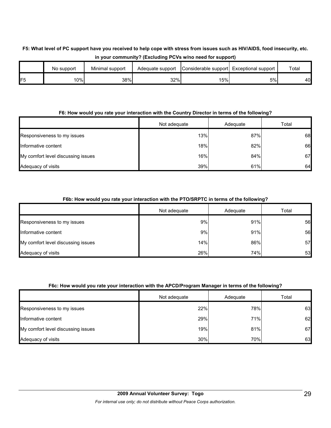# **F5: What level of PC support have you received to help cope with stress from issues such as HIV/AIDS, food insecurity, etc. in your community? (Excluding PCVs w/no need for support)**

|    | No support | Minimal support | Adequate support | Considerable support Exceptional support |    | Total |
|----|------------|-----------------|------------------|------------------------------------------|----|-------|
| F5 | 10%        | 38%             | 32%              | 15%                                      | 5% | 40    |

### **F6: How would you rate your interaction with the Country Director in terms of the following?**

|                                    | Not adequate | Adequate | Total |
|------------------------------------|--------------|----------|-------|
| Responsiveness to my issues        | 13%          | 87%      | 68    |
| Informative content                | 18%          | 82%      | 66    |
| My comfort level discussing issues | 16%          | 84%      | 67    |
| Adequacy of visits                 | 39%          | 61%      | 64    |

## **F6b: How would you rate your interaction with the PTO/SRPTC in terms of the following?**

|                                    | Not adequate | Adequate | Total |
|------------------------------------|--------------|----------|-------|
| Responsiveness to my issues        | 9%           | 91%      | 56    |
| Informative content                | 9%           | 91%      | 56    |
| My comfort level discussing issues | 14%          | 86%      | 57    |
| Adequacy of visits                 | 26%          | 74%      | 53    |

### **F6c: How would you rate your interaction with the APCD/Program Manager in terms of the following?**

|                                    | Not adequate | Adequate | Total |
|------------------------------------|--------------|----------|-------|
| Responsiveness to my issues        | 22%          | 78%      | 63    |
| Informative content                | 29%          | 71%      | 62    |
| My comfort level discussing issues | 19%          | 81%      | 67    |
| Adequacy of visits                 | 30%          | 70%      | 63    |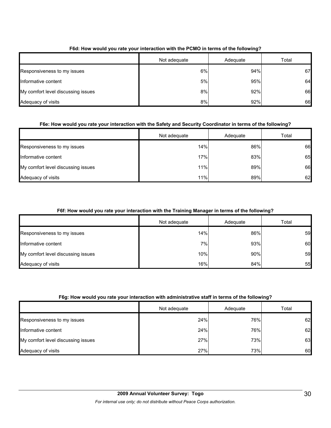|                                    | Not adequate | Adequate | Total |
|------------------------------------|--------------|----------|-------|
| Responsiveness to my issues        | 6%           | 94%      | 67    |
| Informative content                | 5%           | 95%      | 64    |
| My comfort level discussing issues | 8%           | 92%      | 66    |
| Adequacy of visits                 | 8%           | 92%      | 66    |

## **F6d: How would you rate your interaction with the PCMO in terms of the following?**

### **F6e: How would you rate your interaction with the Safety and Security Coordinator in terms of the following?**

|                                    | Not adequate | Adequate | Total |
|------------------------------------|--------------|----------|-------|
| Responsiveness to my issues        | 14%          | 86%      | 66    |
| Informative content                | 17%          | 83%      | 65    |
| My comfort level discussing issues | 11%          | 89%      | 66    |
| Adequacy of visits                 | 11%          | 89%      | 62    |

## **F6f: How would you rate your interaction with the Training Manager in terms of the following?**

|                                    | Not adequate | Adequate | Total |
|------------------------------------|--------------|----------|-------|
| Responsiveness to my issues        | 14%          | 86%      | 59    |
| Informative content                | 7%           | 93%      | 60    |
| My comfort level discussing issues | 10%          | 90%      | 59    |
| Adequacy of visits                 | 16%          | 84%      | 55    |

### **F6g: How would you rate your interaction with administrative staff in terms of the following?**

|                                    | Not adequate | Adequate | Total |
|------------------------------------|--------------|----------|-------|
| Responsiveness to my issues        | 24%          | 76%      | 62    |
| Informative content                | 24%          | 76%      | 62    |
| My comfort level discussing issues | 27%          | 73%      | 63    |
| Adequacy of visits                 | 27%          | 73%      | 60    |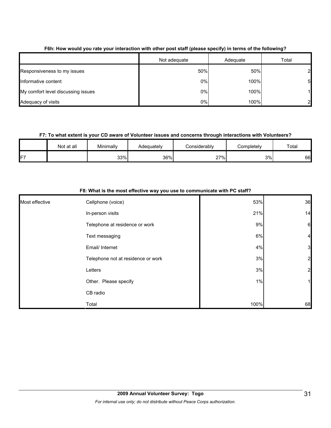|                                    | Not adequate | Adequate | Total |
|------------------------------------|--------------|----------|-------|
| Responsiveness to my issues        | 50%          | 50%      |       |
| Informative content                | 0%           | 100%     | 5     |
| My comfort level discussing issues | 0%           | 100%     |       |
| Adequacy of visits                 | 0%           | 100%     |       |

### **F6h: How would you rate your interaction with other post staff (please specify) in terms of the following?**

### **F7: To what extent is your CD aware of Volunteer issues and concerns through interactions with Volunteers?**

|    | Not at all | Minimally | Adequately | Considerablv | Completely | Total |
|----|------------|-----------|------------|--------------|------------|-------|
| F7 |            | 33%       | 36%        | 27%<br>_     | 3%         | 66    |

|                | F8: What is the most effective way you use to communicate with PC staff? |      |                 |  |  |  |
|----------------|--------------------------------------------------------------------------|------|-----------------|--|--|--|
| Most effective | Cellphone (voice)                                                        | 53%  | 36              |  |  |  |
|                | In-person visits                                                         | 21%  | 14              |  |  |  |
|                | Telephone at residence or work                                           | 9%   | $6\phantom{.0}$ |  |  |  |
|                | Text messaging                                                           | 6%   | $\overline{4}$  |  |  |  |
|                | Email/ Internet                                                          | 4%   | $\mathbf{3}$    |  |  |  |
|                | Telephone not at residence or work                                       | 3%   | $\mathbf{z}$    |  |  |  |
|                | Letters                                                                  | 3%   | $\mathbf{2}$    |  |  |  |
|                | Other. Please specify                                                    | 1%   | 1               |  |  |  |
|                | CB radio                                                                 |      |                 |  |  |  |
|                | Total                                                                    | 100% | 68              |  |  |  |

## **F8: What is the most effective way you use to communicate with PC staff?**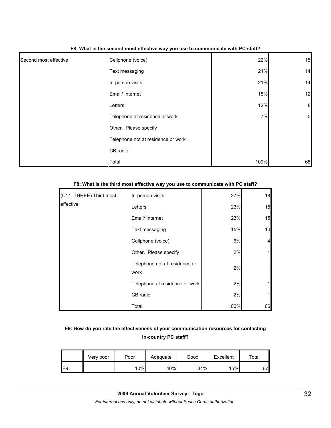|                       | . .                                |      |                  |
|-----------------------|------------------------------------|------|------------------|
| Second most effective | Cellphone (voice)                  | 22%  | 15               |
|                       | Text messaging                     | 21%  | 14               |
|                       | In-person visits                   | 21%  | 14               |
|                       | Email/ Internet                    | 18%  | 12               |
|                       | Letters                            | 12%  | $\boldsymbol{8}$ |
|                       | Telephone at residence or work     | 7%   | $5\overline{a}$  |
|                       | Other. Please specify              |      |                  |
|                       | Telephone not at residence or work |      |                  |
|                       | CB radio                           |      |                  |
|                       | Total                              | 100% | 68               |

#### **F8: What is the second most effective way you use to communicate with PC staff?**

| (C11_THREE) Third most | In-person visits                      | 27%  | 18 |
|------------------------|---------------------------------------|------|----|
| effective              | Letters                               | 23%  | 15 |
|                        | Email/ Internet                       | 23%  | 15 |
|                        | Text messaging                        | 15%  | 10 |
|                        | Cellphone (voice)                     | 6%   | 4  |
|                        | Other. Please specify                 | 2%   |    |
|                        | Telephone not at residence or<br>work | 2%   |    |
|                        | Telephone at residence or work        | 2%   |    |
|                        | CB radio                              | 2%   |    |
|                        | Total                                 | 100% | 66 |

## **F8: What is the third most effective way you use to communicate with PC staff?**

## **F9: How do you rate the effectiveness of your communication resources for contacting in-country PC staff?**

|     | Very poor | Poor | Adequate | Good | Excellent | ™ota⊩ |
|-----|-----------|------|----------|------|-----------|-------|
| IF9 |           | 10%  | 40%      | 34%  | 15%       | 67    |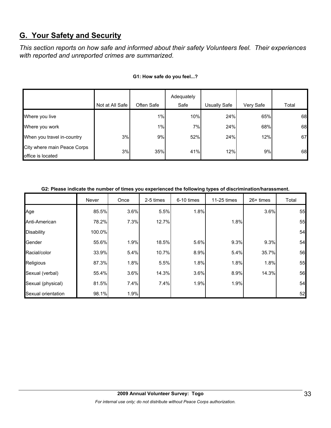# **G. Your Safety and Security**

*This section reports on how safe and informed about their safety Volunteers feel. Their experiences with reported and unreported crimes are summarized.* 

|                                                  |                 |            | Adequately |              |           |       |
|--------------------------------------------------|-----------------|------------|------------|--------------|-----------|-------|
|                                                  | Not at All Safe | Often Safe | Safe       | Usually Safe | Very Safe | Total |
| Where you live                                   |                 | 1%         | 10%        | 24%          | 65%       | 68    |
| Where you work                                   |                 | 1%         | 7%         | 24%          | 68%       | 68    |
| When you travel in-country                       | 3%              | 9%         | 52%        | 24%          | 12%       | 67    |
| City where main Peace Corps<br>office is located | 3%              | 35%        | 41%        | 12%          | 9%        | 68    |

#### **G1: How safe do you feel...?**

| G2: Please indicate the number of times you experienced the following types of discrimination/harassment. |
|-----------------------------------------------------------------------------------------------------------|
|-----------------------------------------------------------------------------------------------------------|

|                    | Never  | Once | 2-5 times | 6-10 times | 11-25 times | $26+$ times | Total |
|--------------------|--------|------|-----------|------------|-------------|-------------|-------|
| Age                | 85.5%  | 3.6% | 5.5%      | 1.8%       |             | 3.6%        | 55    |
| Anti-American      | 78.2%  | 7.3% | 12.7%     |            | 1.8%        |             | 55    |
| <b>Disability</b>  | 100.0% |      |           |            |             |             | 54    |
| Gender             | 55.6%  | 1.9% | 18.5%     | 5.6%       | 9.3%        | 9.3%        | 54    |
| Racial/color       | 33.9%  | 5.4% | 10.7%     | 8.9%       | 5.4%        | 35.7%       | 56    |
| Religious          | 87.3%  | 1.8% | 5.5%      | 1.8%       | 1.8%        | 1.8%        | 55    |
| Sexual (verbal)    | 55.4%  | 3.6% | 14.3%     | 3.6%       | 8.9%        | 14.3%       | 56    |
| Sexual (physical)  | 81.5%  | 7.4% | 7.4%      | 1.9%       | 1.9%        |             | 54    |
| Sexual orientation | 98.1%  | 1.9% |           |            |             |             | 52    |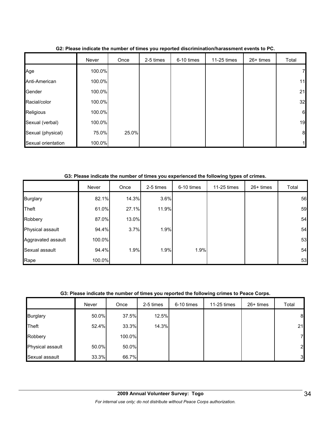|                    | Never  | Once  | 2-5 times | 6-10 times | 11-25 times | 26+ times | Total            |
|--------------------|--------|-------|-----------|------------|-------------|-----------|------------------|
| Age                | 100.0% |       |           |            |             |           | 7                |
| Anti-American      | 100.0% |       |           |            |             |           | 11               |
| Gender             | 100.0% |       |           |            |             |           | 21               |
| Racial/color       | 100.0% |       |           |            |             |           | 32               |
| Religious          | 100.0% |       |           |            |             |           | 6                |
| Sexual (verbal)    | 100.0% |       |           |            |             |           | 19               |
| Sexual (physical)  | 75.0%  | 25.0% |           |            |             |           | $\boldsymbol{8}$ |
| Sexual orientation | 100.0% |       |           |            |             |           |                  |

**G2: Please indicate the number of times you reported discrimination/harassment events to PC.**

**G3: Please indicate the number of times you experienced the following types of crimes.**

|                    | Never  | Once  | 2-5 times | 6-10 times | 11-25 times | $26+$ times | Total |
|--------------------|--------|-------|-----------|------------|-------------|-------------|-------|
| <b>Burglary</b>    | 82.1%  | 14.3% | 3.6%      |            |             |             | 56    |
| Theft              | 61.0%  | 27.1% | 11.9%     |            |             |             | 59    |
| Robbery            | 87.0%  | 13.0% |           |            |             |             | 54    |
| Physical assault   | 94.4%  | 3.7%  | 1.9%      |            |             |             | 54    |
| Aggravated assault | 100.0% |       |           |            |             |             | 53    |
| Sexual assault     | 94.4%  | 1.9%  | 1.9%      | 1.9%       |             |             | 54    |
| Rape               | 100.0% |       |           |            |             |             | 53    |

### **G3: Please indicate the number of times you reported the following crimes to Peace Corps.**

|                  | Never | Once   | 2-5 times | 6-10 times | 11-25 times | $26+$ times | Total            |
|------------------|-------|--------|-----------|------------|-------------|-------------|------------------|
| <b>Burglary</b>  | 50.0% | 37.5%  | 12.5%     |            |             |             | $\boldsymbol{8}$ |
| Theft            | 52.4% | 33.3%  | 14.3%     |            |             |             | 21               |
| Robbery          |       | 100.0% |           |            |             |             | 7                |
| Physical assault | 50.0% | 50.0%  |           |            |             |             | $\overline{2}$   |
| Sexual assault   | 33.3% | 66.7%  |           |            |             |             | $\mathbf{3}$     |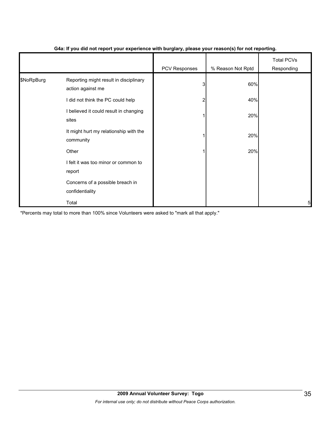|            |                                                             | .             | $\cdot$ $\cdot$   |                                 |
|------------|-------------------------------------------------------------|---------------|-------------------|---------------------------------|
|            |                                                             | PCV Responses | % Reason Not Rptd | <b>Total PCVs</b><br>Responding |
| \$NoRpBurg | Reporting might result in disciplinary<br>action against me | 3             | 60%               |                                 |
|            | I did not think the PC could help                           |               | 40%               |                                 |
|            | I believed it could result in changing<br>sites             |               | 20%               |                                 |
|            | It might hurt my relationship with the<br>community         |               | 20%               |                                 |
|            | Other                                                       |               | 20%               |                                 |
|            | I felt it was too minor or common to<br>report              |               |                   |                                 |
|            | Concerns of a possible breach in<br>confidentiality         |               |                   |                                 |
|            | Total                                                       |               |                   | 5                               |

#### **G4a: If you did not report your experience with burglary, please your reason(s) for not reporting.**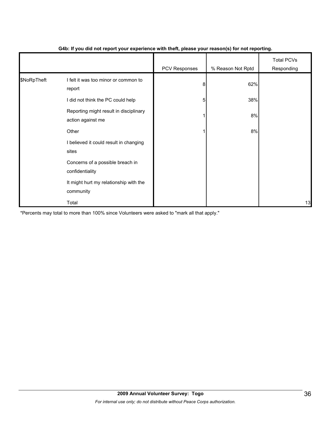|             |                                                             | - 1           | $\mathbf{v}$      |                                 |
|-------------|-------------------------------------------------------------|---------------|-------------------|---------------------------------|
|             |                                                             | PCV Responses | % Reason Not Rptd | <b>Total PCVs</b><br>Responding |
| \$NoRpTheft | I felt it was too minor or common to<br>report              | 8             | 62%               |                                 |
|             | I did not think the PC could help                           | 5             | 38%               |                                 |
|             | Reporting might result in disciplinary<br>action against me |               | 8%                |                                 |
|             | Other                                                       |               | 8%                |                                 |
|             | I believed it could result in changing<br>sites             |               |                   |                                 |
|             | Concerns of a possible breach in<br>confidentiality         |               |                   |                                 |
|             | It might hurt my relationship with the<br>community         |               |                   |                                 |
|             | Total                                                       |               |                   | 13                              |

### **G4b: If you did not report your experience with theft, please your reason(s) for not reporting.**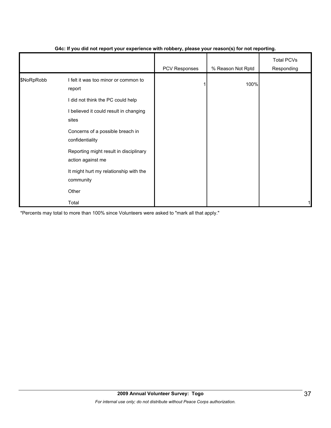|            |                                                             | PCV Responses | % Reason Not Rptd | <b>Total PCVs</b><br>Responding |
|------------|-------------------------------------------------------------|---------------|-------------------|---------------------------------|
| \$NoRpRobb | I felt it was too minor or common to<br>report              |               | 100%              |                                 |
|            | I did not think the PC could help                           |               |                   |                                 |
|            | I believed it could result in changing<br>sites             |               |                   |                                 |
|            | Concerns of a possible breach in<br>confidentiality         |               |                   |                                 |
|            | Reporting might result in disciplinary<br>action against me |               |                   |                                 |
|            | It might hurt my relationship with the<br>community         |               |                   |                                 |
|            | Other                                                       |               |                   |                                 |
|            | Total                                                       |               |                   |                                 |

#### **G4c: If you did not report your experience with robbery, please your reason(s) for not reporting.**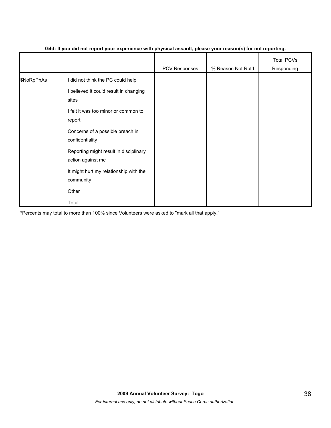|            |                                                             | - 1           | $\mathbf{v}$      |                                 |
|------------|-------------------------------------------------------------|---------------|-------------------|---------------------------------|
|            |                                                             | PCV Responses | % Reason Not Rptd | <b>Total PCVs</b><br>Responding |
| \$NoRpPhAs | I did not think the PC could help                           |               |                   |                                 |
|            | I believed it could result in changing<br>sites             |               |                   |                                 |
|            | I felt it was too minor or common to<br>report              |               |                   |                                 |
|            | Concerns of a possible breach in<br>confidentiality         |               |                   |                                 |
|            | Reporting might result in disciplinary<br>action against me |               |                   |                                 |
|            | It might hurt my relationship with the<br>community         |               |                   |                                 |
|            | Other                                                       |               |                   |                                 |
|            | Total                                                       |               |                   |                                 |

#### **G4d: If you did not report your experience with physical assault, please your reason(s) for not reporting.**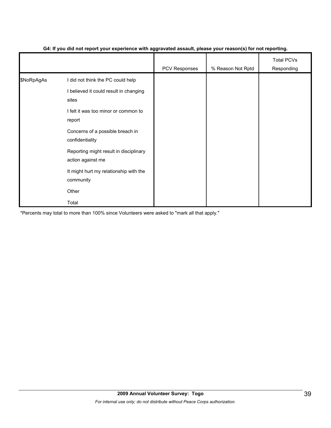|            |                                                             | PCV Responses | % Reason Not Rptd | <b>Total PCVs</b><br>Responding |
|------------|-------------------------------------------------------------|---------------|-------------------|---------------------------------|
| \$NoRpAgAs | I did not think the PC could help                           |               |                   |                                 |
|            | I believed it could result in changing<br>sites             |               |                   |                                 |
|            | I felt it was too minor or common to<br>report              |               |                   |                                 |
|            | Concerns of a possible breach in<br>confidentiality         |               |                   |                                 |
|            | Reporting might result in disciplinary<br>action against me |               |                   |                                 |
|            | It might hurt my relationship with the<br>community         |               |                   |                                 |
|            | Other                                                       |               |                   |                                 |
|            | Total                                                       |               |                   |                                 |

#### **G4: If you did not report your experience with aggravated assault, please your reason(s) for not reporting.**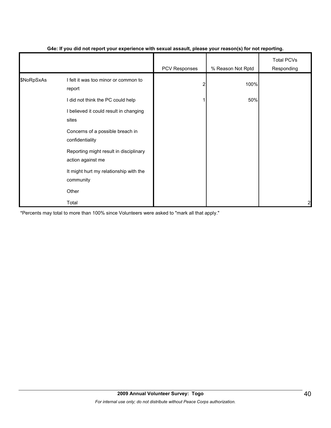|            |                                                             | - 1           | $\mathbf{v}$      |                                 |
|------------|-------------------------------------------------------------|---------------|-------------------|---------------------------------|
|            |                                                             | PCV Responses | % Reason Not Rptd | <b>Total PCVs</b><br>Responding |
| \$NoRpSxAs | I felt it was too minor or common to<br>report              |               | 100%              |                                 |
|            | I did not think the PC could help                           |               | 50%               |                                 |
|            | I believed it could result in changing<br>sites             |               |                   |                                 |
|            | Concerns of a possible breach in<br>confidentiality         |               |                   |                                 |
|            | Reporting might result in disciplinary<br>action against me |               |                   |                                 |
|            | It might hurt my relationship with the<br>community         |               |                   |                                 |
|            | Other                                                       |               |                   |                                 |
|            | Total                                                       |               |                   | 2                               |

### **G4e: If you did not report your experience with sexual assault, please your reason(s) for not reporting.**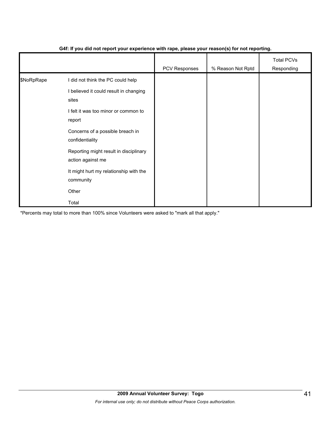|            |                                                             | .             | $\mathbf{v}$      |                                 |
|------------|-------------------------------------------------------------|---------------|-------------------|---------------------------------|
|            |                                                             | PCV Responses | % Reason Not Rptd | <b>Total PCVs</b><br>Responding |
| \$NoRpRape | I did not think the PC could help                           |               |                   |                                 |
|            | I believed it could result in changing<br>sites             |               |                   |                                 |
|            | I felt it was too minor or common to<br>report              |               |                   |                                 |
|            | Concerns of a possible breach in<br>confidentiality         |               |                   |                                 |
|            | Reporting might result in disciplinary<br>action against me |               |                   |                                 |
|            | It might hurt my relationship with the<br>community         |               |                   |                                 |
|            | Other                                                       |               |                   |                                 |
|            | Total                                                       |               |                   |                                 |

### **G4f: If you did not report your experience with rape, please your reason(s) for not reporting.**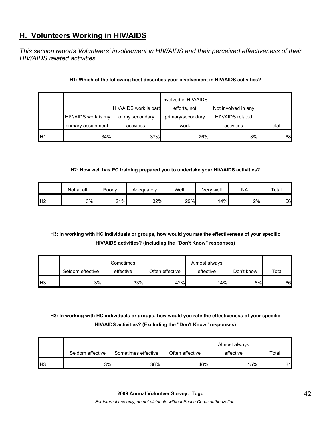# **H. Volunteers Working in HIV/AIDS**

*This section reports Volunteers' involvement in HIV/AIDS and their perceived effectiveness of their HIV/AIDS related activities.* 

### **H1: Which of the following best describes your involvement in HIV/AIDS activities?**

|    |                     |                       | Involved in HIV/AIDS |                     |       |
|----|---------------------|-----------------------|----------------------|---------------------|-------|
|    |                     | HIV/AIDS work is part | efforts, not         | Not involved in any |       |
|    | HIV/AIDS work is my | of my secondary       | primary/secondary    | HIV/AIDS related    |       |
|    | primary assignment. | activities.           | work                 | activities          | Total |
| H1 | 34%                 | 37%                   | 26%                  | 3%                  | 68    |

### **H2: How well has PC training prepared you to undertake your HIV/AIDS activities?**

|                | Not at all | Poorly | Adequately | Well | Very well | <b>NA</b> | Total |
|----------------|------------|--------|------------|------|-----------|-----------|-------|
| H <sub>2</sub> | 3%         | 21%    | 32%        | 29%  | 14%       | 2%        | 66    |

# **H3: In working with HC individuals or groups, how would you rate the effectiveness of your specific HIV/AIDS activities? (Including the "Don't Know" responses)**

|                 |                  | Sometimes |                 | Almost always |            |       |
|-----------------|------------------|-----------|-----------------|---------------|------------|-------|
|                 | Seldom effective | effective | Often effective | effective     | Don't know | Total |
| IH <sub>3</sub> | 3%               | 33%       | 42%             | 14%           | 8%         | 66    |

# **H3: In working with HC individuals or groups, how would you rate the effectiveness of your specific HIV/AIDS activities? (Excluding the "Don't Know" responses)**

|                 | Seldom effective | Sometimes effective | Often effective | Almost always<br>effective | $\tau$ otal |
|-----------------|------------------|---------------------|-----------------|----------------------------|-------------|
| IH <sub>3</sub> | 3%               | 36%                 | 46%             | 15%                        | 61          |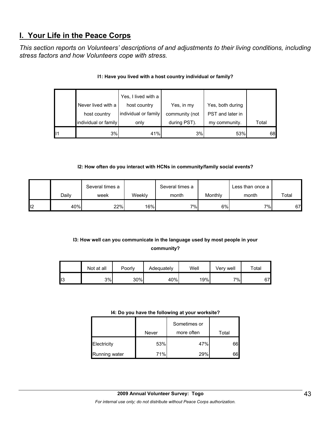# **I. Your Life in the Peace Corps**

*This section reports on Volunteers' descriptions of and adjustments to their living conditions, including stress factors and how Volunteers cope with stress.* 

|    |                      | Yes, I lived with a  |                |                  |       |
|----|----------------------|----------------------|----------------|------------------|-------|
|    | Never lived with a   | host country         | Yes, in my     | Yes, both during |       |
|    | host country         | individual or family | community (not | PST and later in |       |
|    | individual or family | only                 | during PST).   | my community.    | Total |
| 11 | 3%                   | 41%                  | 3%             | 53%              | 68    |

## **I1: Have you lived with a host country individual or family?**

### **I2: How often do you interact with HCNs in community/family social events?**

|                 |       | Several times a |                  | Several times a |         | Less than once a |       |
|-----------------|-------|-----------------|------------------|-----------------|---------|------------------|-------|
|                 | Dailv | week            | Weekly           | month           | Monthly | month            | Total |
| l <sub>12</sub> | 40%   | 22%             | 16% <sub>I</sub> | 7%1             | 6%      | 7%               | 67    |

# **I3: How well can you communicate in the language used by most people in your community?**

|     | Not at all | Poorly | Adequately | Well | Verv well | Total |
|-----|------------|--------|------------|------|-----------|-------|
| II3 | 3%         | 30%    | 40%        | 19%  | 7%        | 67    |

#### **I4: Do you have the following at your worksite?**

|               | Never | Sometimes or<br>more often | Total |
|---------------|-------|----------------------------|-------|
| Electricity   | 53%   | 47%                        | 66    |
| Running water | 71%   | 29%                        | 66l   |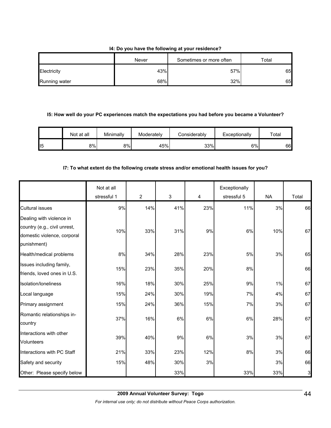#### **I4: Do you have the following at your residence?**

|               | Never | Sometimes or more often | Total |
|---------------|-------|-------------------------|-------|
| Electricity   | 43%   | 57%                     | 65    |
| Running water | 68%   | 32%                     | 65    |

#### **I5: How well do your PC experiences match the expectations you had before you became a Volunteer?**

|     | Not at all | Minimally | Moderately | Considerablv | Exceptionally | Total |
|-----|------------|-----------|------------|--------------|---------------|-------|
| 115 | 8%I        | 8%l       | 45%        | 33%          | 6%            | 66    |

#### **I7: To what extent do the following create stress and/or emotional health issues for you?**

|                                                                                                        | Not at all<br>stressful 1 | 2   | 3   | 4   | Exceptionally<br>stressful 5 | <b>NA</b> | Total        |
|--------------------------------------------------------------------------------------------------------|---------------------------|-----|-----|-----|------------------------------|-----------|--------------|
| <b>Cultural issues</b>                                                                                 | 9%                        | 14% | 41% | 23% | 11%                          | 3%        | 66           |
| Dealing with violence in<br>country (e.g., civil unrest,<br>domestic violence, corporal<br>punishment) | 10%                       | 33% | 31% | 9%  | 6%                           | 10%       | 67           |
| Health/medical problems                                                                                | 8%                        | 34% | 28% | 23% | 5%                           | 3%        | 65           |
| Issues including family,<br>friends, loved ones in U.S.                                                | 15%                       | 23% | 35% | 20% | 8%                           |           | 66           |
| Isolation/loneliness                                                                                   | 16%                       | 18% | 30% | 25% | 9%                           | 1%        | 67           |
| Local language                                                                                         | 15%                       | 24% | 30% | 19% | 7%                           | 4%        | 67           |
| Primary assignment                                                                                     | 15%                       | 24% | 36% | 15% | 7%                           | 3%        | 67           |
| Romantic relationships in-<br>country                                                                  | 37%                       | 16% | 6%  | 6%  | 6%                           | 28%       | 67           |
| Interactions with other<br>Volunteers                                                                  | 39%                       | 40% | 9%  | 6%  | 3%                           | 3%        | 67           |
| Interactions with PC Staff                                                                             | 21%                       | 33% | 23% | 12% | 8%                           | 3%        | 66           |
| Safety and security                                                                                    | 15%                       | 48% | 30% | 3%  |                              | 3%        | 66           |
| Other: Please specify below                                                                            |                           |     | 33% |     | 33%                          | 33%       | $\mathbf{3}$ |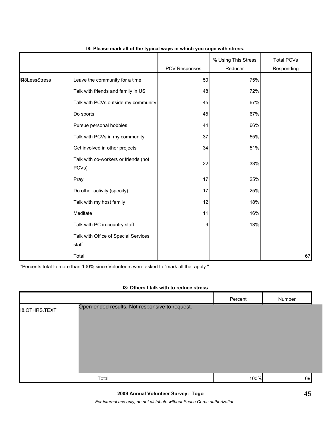|                |                                               | <b>PCV Responses</b> | % Using This Stress<br>Reducer | <b>Total PCVs</b><br>Responding |
|----------------|-----------------------------------------------|----------------------|--------------------------------|---------------------------------|
| \$18LessStress | Leave the community for a time                | 50                   | 75%                            |                                 |
|                | Talk with friends and family in US            | 48                   | 72%                            |                                 |
|                | Talk with PCVs outside my community           | 45                   | 67%                            |                                 |
|                | Do sports                                     | 45                   | 67%                            |                                 |
|                | Pursue personal hobbies                       | 44                   | 66%                            |                                 |
|                | Talk with PCVs in my community                | 37                   | 55%                            |                                 |
|                | Get involved in other projects                | 34                   | 51%                            |                                 |
|                | Talk with co-workers or friends (not<br>PCVs) | 22                   | 33%                            |                                 |
|                | Pray                                          | 17                   | 25%                            |                                 |
|                | Do other activity (specify)                   | 17                   | 25%                            |                                 |
|                | Talk with my host family                      | 12                   | 18%                            |                                 |
|                | Meditate                                      | 11                   | 16%                            |                                 |
|                | Talk with PC in-country staff                 | $\overline{9}$       | 13%                            |                                 |
|                | Talk with Office of Special Services<br>staff |                      |                                |                                 |
|                | Total                                         |                      |                                | 67                              |

#### **I8: Please mark all of the typical ways in which you cope with stress.**

\*Percents total to more than 100% since Volunteers were asked to "mark all that apply."

#### **I8: Others I talk with to reduce stress**

|                      |                                                | Percent | Number |
|----------------------|------------------------------------------------|---------|--------|
| <b>I8.OTHRS.TEXT</b> | Open-ended results. Not responsive to request. |         |        |
|                      |                                                |         |        |
|                      |                                                |         |        |
|                      |                                                |         |        |
|                      |                                                |         |        |
|                      |                                                |         |        |
|                      | Total                                          | 100%    | 69     |
|                      |                                                |         |        |

*For internal use only; do not distribute without Peace Corps authorization.*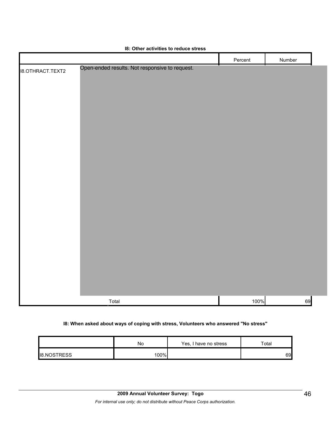|                         |                                                | Percent | Number |  |
|-------------------------|------------------------------------------------|---------|--------|--|
| <b>18.OTHRACT.TEXT2</b> | Open-ended results. Not responsive to request. |         |        |  |
|                         |                                                |         |        |  |
|                         |                                                |         |        |  |
|                         |                                                |         |        |  |
|                         |                                                |         |        |  |
|                         |                                                |         |        |  |
|                         |                                                |         |        |  |
|                         |                                                |         |        |  |
|                         |                                                |         |        |  |
|                         |                                                |         |        |  |
|                         |                                                |         |        |  |
|                         |                                                |         |        |  |
|                         |                                                |         |        |  |
|                         |                                                |         |        |  |
|                         |                                                |         |        |  |
|                         |                                                |         |        |  |
|                         |                                                |         |        |  |
|                         |                                                |         |        |  |
|                         |                                                |         |        |  |
|                         |                                                |         |        |  |
|                         |                                                |         |        |  |
|                         |                                                |         |        |  |
|                         | Total                                          | 100%    | 69     |  |

## **I8: Other activities to reduce stress**

## **I8: When asked about ways of coping with stress, Volunteers who answered "No stress"**

|                    | No   | Yes, I have no stress | Total |
|--------------------|------|-----------------------|-------|
| <b>I8.NOSTRESS</b> | 100% |                       | 69    |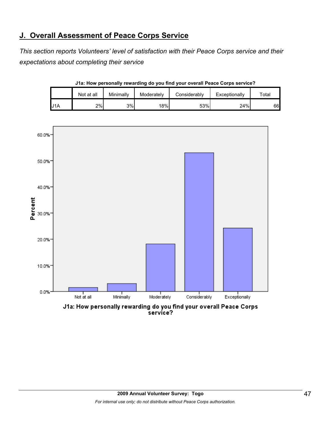# **J. Overall Assessment of Peace Corps Service**

*This section reports Volunteers' level of satisfaction with their Peace Corps service and their expectations about completing their service*

|     | Not at all | Minimally | Moderately       | Considerably | Exceptionally | $\mathsf{r}_\mathsf{otal}$ |
|-----|------------|-----------|------------------|--------------|---------------|----------------------------|
| J1A | 2%         | 3%        | 18% <sub>L</sub> | 53%          | 24%           | 66I                        |



**J1a: How personally rewarding do you find your overall Peace Corps service?**

J1a: How personally rewarding do you find your overall Peace Corps service?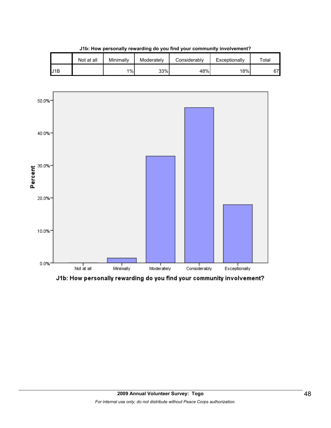|     | Not at all | Minimally | Moderately | Considerably | Exceptionally | $\tau$ otal |
|-----|------------|-----------|------------|--------------|---------------|-------------|
| J1B |            | $1\%$     | 33%        | 48%          | 18%           | 67          |

**J1b: How personally rewarding do you find your community involvement?**



J1b: How personally rewarding do you find your community involvement?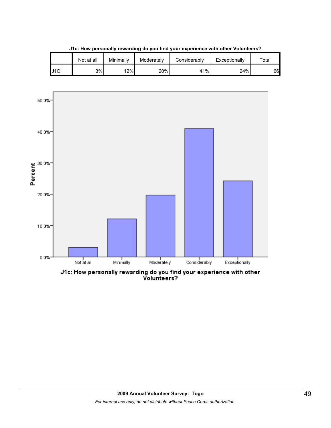|     | Not at all | Minimallv | Moderately | Considerably | Exceptionally | $\tau$ otal |
|-----|------------|-----------|------------|--------------|---------------|-------------|
| J1C | 3%         | 12%       | 20%        | 41%          | 24%           | 66          |

**J1c: How personally rewarding do you find your experience with other Volunteers?**



J1c: How personally rewarding do you find your experience with other<br>Volunteers?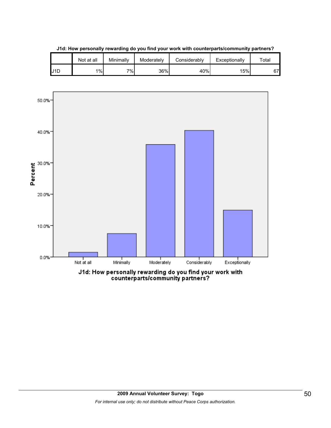

**J1d: How personally rewarding do you find your work with counterparts/community partners?**

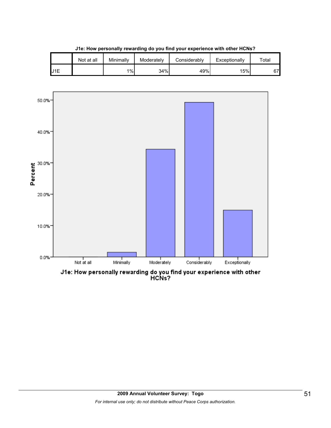|           | Not at all | Minimally | Moderately | Considerably | Exceptionally | $\tau$ otal |
|-----------|------------|-----------|------------|--------------|---------------|-------------|
| 11E<br>ıυ |            | $1\%$     | 34%        | 49%          | 15%           | 67          |

**J1e: How personally rewarding do you find your experience with other HCNs?**

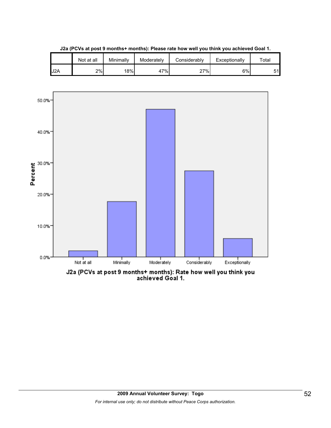

**J2a (PCVs at post 9 months+ months): Please rate how well you think you achieved Goal 1.**

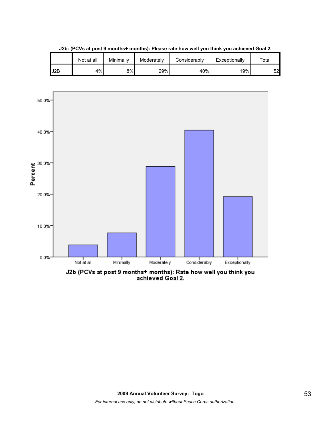|     | Not at all | Minimally | Moderately | Considerably | Exceptionally | $\tau$ otal |
|-----|------------|-----------|------------|--------------|---------------|-------------|
| J2B | 4%         | 8%        | 29%        | 40%          | 19%           | 52          |

**J2b: (PCVs at post 9 months+ months): Please rate how well you think you achieved Goal 2.**

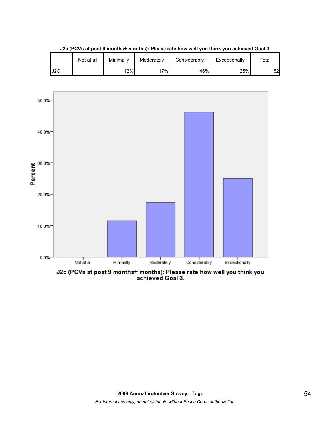|     | Not at all | Minimally | Moderately | Considerably | Exceptionally | $\tau$ otal |
|-----|------------|-----------|------------|--------------|---------------|-------------|
| J2C |            | 12%       | 17%        | 46%          | 25%           | 52          |

**J2c (PCVs at post 9 months+ months): Please rate how well you think you achieved Goal 3.**



J2c (PCVs at post 9 months+ months): Please rate how well you think you<br>achieved Goal 3.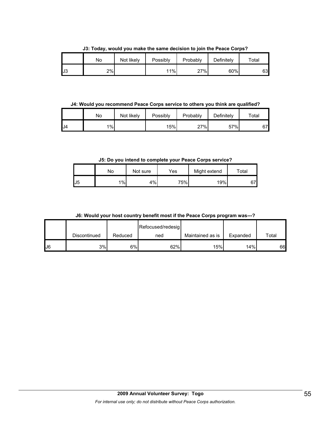**J3: Today, would you make the same decision to join the Peace Corps?**

|     | No | Not likely | Possibly | Probably | Definitely | Total |
|-----|----|------------|----------|----------|------------|-------|
| IJ3 | 2% |            | 11%      | 27%      | 60%        | 63    |

**J4: Would you recommend Peace Corps service to others you think are qualified?**

|     | No | Not likely | Possibly | Probably | Definitely | $\tau$ otal |
|-----|----|------------|----------|----------|------------|-------------|
| IJ4 | 1% |            | 15%      | 27%      | 57%        | 67          |

**J5: Do you intend to complete your Peace Corps service?**

|     | N٥    | Not sure | Yes | Might extend | Total   |
|-----|-------|----------|-----|--------------|---------|
| IJ5 | $1\%$ | 4%       | 75% | 19%          | 07<br>U |

**J6: Would your host country benefit most if the Peace Corps program was---?**

|    |              |         | Refocused/redesig |                  |          |       |
|----|--------------|---------|-------------------|------------------|----------|-------|
|    | Discontinued | Reduced | ned               | Maintained as is | Expanded | Total |
| J6 | 3%           | 6%      | 62%               | 15%              | 14%      | 66    |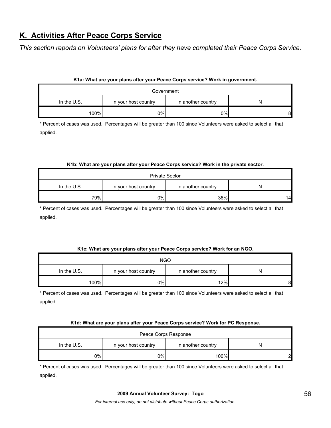# **K. Activities After Peace Corps Service**

*This section reports on Volunteers' plans for after they have completed their Peace Corps Service.* 

### **K1a: What are your plans after your Peace Corps service? Work in government.**

| Government    |                      |                    |   |  |
|---------------|----------------------|--------------------|---|--|
| In the $U.S.$ | In your host country | In another country | N |  |
| 100%          | 0%I                  | 0%                 | 8 |  |

\* Percent of cases was used. Percentages will be greater than 100 since Volunteers were asked to select all that applied.

#### **K1b: What are your plans after your Peace Corps service? Work in the private sector.**

| <b>Private Sector</b>                                            |     |     |    |  |
|------------------------------------------------------------------|-----|-----|----|--|
| In the $U.S.$<br>In your host country<br>In another country<br>N |     |     |    |  |
| 79%                                                              | 0%I | 36% | 14 |  |

\* Percent of cases was used. Percentages will be greater than 100 since Volunteers were asked to select all that applied.

#### **K1c: What are your plans after your Peace Corps service? Work for an NGO.**

| <b>NGO</b>    |                      |                    |   |  |
|---------------|----------------------|--------------------|---|--|
| In the $U.S.$ | In your host country | In another country | N |  |
| 100%          | 0%                   | 12%                | 8 |  |

\* Percent of cases was used. Percentages will be greater than 100 since Volunteers were asked to select all that applied.

#### **K1d: What are your plans after your Peace Corps service? Work for PC Response.**

| Peace Corps Response                                           |    |      |   |  |
|----------------------------------------------------------------|----|------|---|--|
| In the U.S.<br>In your host country<br>In another country<br>N |    |      |   |  |
| 9%                                                             | 0% | 100% | ົ |  |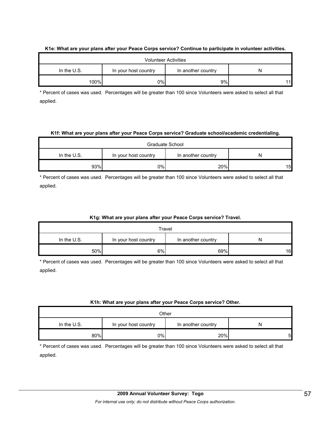|               |                      | <b>Volunteer Activities</b> |   |
|---------------|----------------------|-----------------------------|---|
| In the $U.S.$ | In your host country | In another country          | N |
| 100%          | 0%l                  | 9%                          |   |

#### **K1e: What are your plans after your Peace Corps service? Continue to participate in volunteer activities.**

\* Percent of cases was used. Percentages will be greater than 100 since Volunteers were asked to select all that applied.

#### **K1f: What are your plans after your Peace Corps service? Graduate school/academic credentialing.**

| Graduate School                                                |     |     |    |  |
|----------------------------------------------------------------|-----|-----|----|--|
| In the U.S.<br>In your host country<br>In another country<br>N |     |     |    |  |
| 93%                                                            | 0%l | 20% | 15 |  |

\* Percent of cases was used. Percentages will be greater than 100 since Volunteers were asked to select all that applied.

### **K1g: What are your plans after your Peace Corps service? Travel.**

| Travel                                                           |    |     |    |  |
|------------------------------------------------------------------|----|-----|----|--|
| In the $U.S.$<br>In another country<br>In your host country<br>N |    |     |    |  |
| 50%                                                              | 6% | 69% | 16 |  |

\* Percent of cases was used. Percentages will be greater than 100 since Volunteers were asked to select all that applied.

### **K1h: What are your plans after your Peace Corps service? Other.**

| Other       |                      |                    |   |  |
|-------------|----------------------|--------------------|---|--|
| In the U.S. | In your host country | In another country |   |  |
| 80%         | 0%                   | 20%                | 5 |  |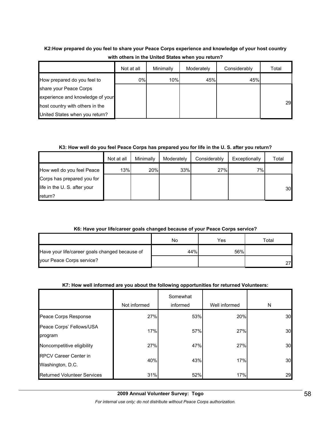# **K2:How prepared do you feel to share your Peace Corps experience and knowledge of your host country with others in the United States when you return?**

|                                  | Not at all | Minimally | Moderately | Considerably | Total |
|----------------------------------|------------|-----------|------------|--------------|-------|
| How prepared do you feel to      | 0%         | 10%       | 45%        | 45%          |       |
| share your Peace Corps           |            |           |            |              |       |
| experience and knowledge of your |            |           |            |              |       |
| host country with others in the  |            |           |            |              | 29    |
| United States when you return?   |            |           |            |              |       |

## **K3: How well do you feel Peace Corps has prepared you for life in the U. S. after you return?**

|                              | Not at all | Minimally | Moderately | Considerably | Exceptionally | Total |
|------------------------------|------------|-----------|------------|--------------|---------------|-------|
| How well do you feel Peace   | 13%        | 20%       | 33%        | 27%          | 7%            |       |
| Corps has prepared you for   |            |           |            |              |               |       |
| life in the U. S. after your |            |           |            |              |               | 30    |
| return?                      |            |           |            |              |               |       |

## **K6: Have your life/career goals changed because of your Peace Corps service?**

|                                                | No  | Yes | $\tau$ otal |
|------------------------------------------------|-----|-----|-------------|
| Have your life/career goals changed because of | 44% | 56% |             |
| your Peace Corps service?                      |     |     |             |

## **K7: How well informed are you about the following opportunities for returned Volunteers:**

|                                                  | Not informed | Somewhat<br>informed | Well informed | N  |
|--------------------------------------------------|--------------|----------------------|---------------|----|
| Peace Corps Response                             | 27%          | 53%                  | 20%           | 30 |
| Peace Corps' Fellows/USA<br>program              | 17%          | 57%                  | 27%           | 30 |
| Noncompetitive eligibility                       | 27%          | 47%                  | 27%           | 30 |
| <b>RPCV Career Center in</b><br>Washington, D.C. | 40%          | 43%                  | 17%           | 30 |
| <b>Returned Volunteer Services</b>               | 31%          | 52%                  | 17%           | 29 |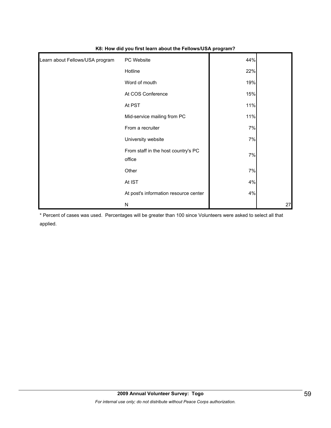| Learn about Fellows/USA program | PC Website                                    | 44% |    |
|---------------------------------|-----------------------------------------------|-----|----|
|                                 | Hotline                                       | 22% |    |
|                                 | Word of mouth                                 | 19% |    |
|                                 | At COS Conference                             | 15% |    |
|                                 | At PST                                        | 11% |    |
|                                 | Mid-service mailing from PC                   | 11% |    |
|                                 | From a recruiter                              | 7%  |    |
|                                 | University website                            | 7%  |    |
|                                 | From staff in the host country's PC<br>office | 7%  |    |
|                                 | Other                                         | 7%  |    |
|                                 | At IST                                        | 4%  |    |
|                                 | At post's information resource center         | 4%  |    |
|                                 | N                                             |     | 27 |

**K8: How did you first learn about the Fellows/USA program?**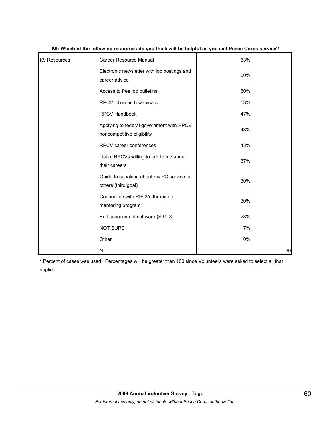| K9 Resources | <b>Career Resource Manual</b>                                          | 63% |    |
|--------------|------------------------------------------------------------------------|-----|----|
|              | Electronic newsletter with job postings and<br>career advice           | 60% |    |
|              | Access to free job bulletins                                           | 60% |    |
|              | RPCV job search webinars                                               | 53% |    |
|              | <b>RPCV Handbook</b>                                                   | 47% |    |
|              | Applying to federal government with RPCV<br>noncompetitive eligibility | 43% |    |
|              | RPCV career conferences                                                | 43% |    |
|              | List of RPCVs willing to talk to me about<br>their careers             | 37% |    |
|              | Guide to speaking about my PC service to<br>others (third goal)        | 30% |    |
|              | Connection with RPCVs through a<br>mentoring program                   | 30% |    |
|              | Self-assessment software (SIGI 3)                                      | 23% |    |
|              | <b>NOT SURE</b>                                                        | 7%  |    |
|              | Other                                                                  | 0%  |    |
|              | N                                                                      |     | 30 |

#### **K9: Which of the following resources do you think will be helpful as you exit Peace Corps service?**